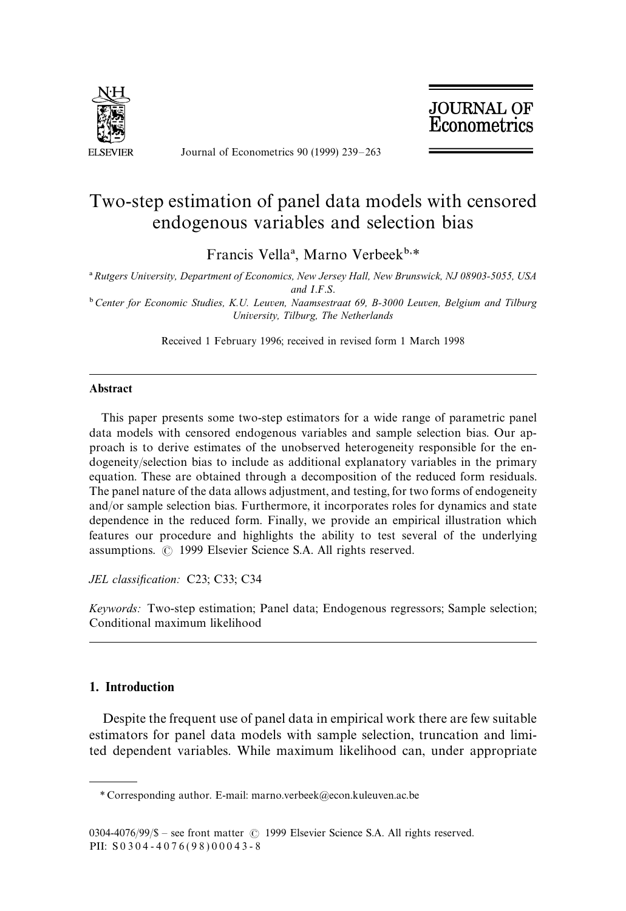

Journal of Econometrics 90 (1999) 239*—*263

# Two-step estimation of panel data models with censored endogenous variables and selection bias

Francis Vella<sup>a</sup>, Marno Verbeek<sup>b,\*</sup>

! *Rutgers University, Department of Economics, New Jersey Hall, New Brunswick, NJ 08903-5055, USA and I*.*F*.*S*.

"*Center for Economic Studies, K.U. Leuven, Naamsestraat 69, B-3000 Leuven, Belgium and Tilburg University, Tilburg, The Netherlands*

Received 1 February 1996; received in revised form 1 March 1998

#### **Abstract**

This paper presents some two-step estimators for a wide range of parametric panel data models with censored endogenous variables and sample selection bias. Our approach is to derive estimates of the unobserved heterogeneity responsible for the endogeneity/selection bias to include as additional explanatory variables in the primary equation. These are obtained through a decomposition of the reduced form residuals. The panel nature of the data allows adjustment, and testing, for two forms of endogeneity and/or sample selection bias. Furthermore, it incorporates roles for dynamics and state dependence in the reduced form. Finally, we provide an empirical illustration which features our procedure and highlights the ability to test several of the underlying assumptions.  $\odot$  1999 Elsevier Science S.A. All rights reserved.

*JEL classification:* C23; C33; C34

*Keywords:* Two-step estimation; Panel data; Endogenous regressors; Sample selection; Conditional maximum likelihood

# 1. Introduction

Despite the frequent use of panel data in empirical work there are few suitable estimators for panel data models with sample selection, truncation and limited dependent variables. While maximum likelihood can, under appropriate

*<sup>\*</sup>* Corresponding author. E-mail: marno.verbeek@econ.kuleuven.ac.be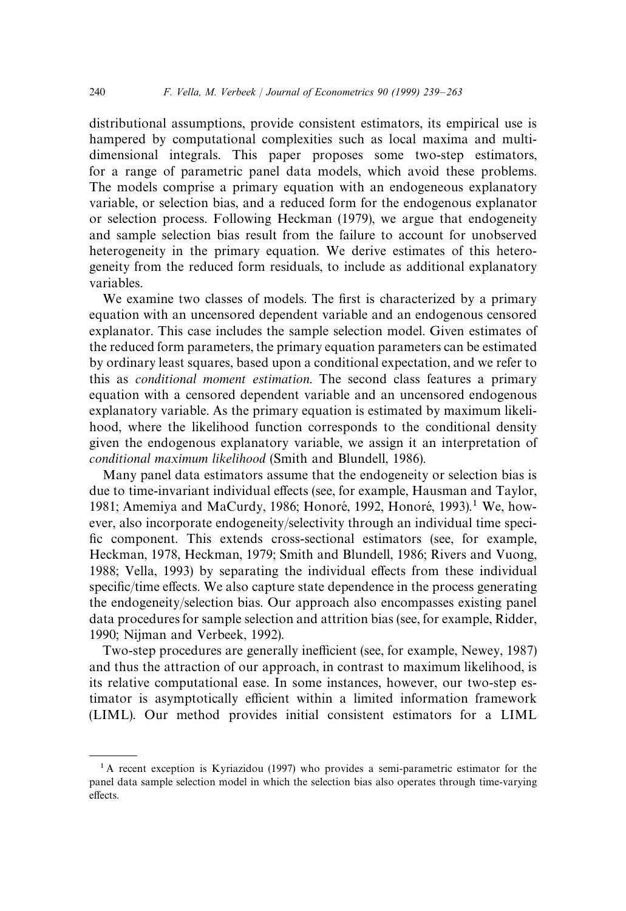distributional assumptions, provide consistent estimators, its empirical use is hampered by computational complexities such as local maxima and multidimensional integrals. This paper proposes some two-step estimators, for a range of parametric panel data models, which avoid these problems. The models comprise a primary equation with an endogeneous explanatory variable, or selection bias, and a reduced form for the endogenous explanator or selection process. Following Heckman (1979), we argue that endogeneity and sample selection bias result from the failure to account for unobserved heterogeneity in the primary equation. We derive estimates of this heterogeneity from the reduced form residuals, to include as additional explanatory variables.

We examine two classes of models. The first is characterized by a primary equation with an uncensored dependent variable and an endogenous censored explanator. This case includes the sample selection model. Given estimates of the reduced form parameters, the primary equation parameters can be estimated by ordinary least squares, based upon a conditional expectation, and we refer to this as *conditional moment estimation*. The second class features a primary equation with a censored dependent variable and an uncensored endogenous explanatory variable. As the primary equation is estimated by maximum likelihood, where the likelihood function corresponds to the conditional density given the endogenous explanatory variable, we assign it an interpretation of *conditional maximum likelihood* (Smith and Blundell, 1986).

Many panel data estimators assume that the endogeneity or selection bias is due to time-invariant individual effects (see, for example, Hausman and Taylor, 1981; Amemiya and MaCurdy, 1986; Honoré, 1992, Honoré, 1993).<sup>1</sup> We, however, also incorporate endogeneity/selectivity through an individual time specific component. This extends cross-sectional estimators (see, for example, Heckman, 1978, Heckman, 1979; Smith and Blundell, 1986; Rivers and Vuong, 1988; Vella, 1993) by separating the individual effects from these individual specific/time effects. We also capture state dependence in the process generating the endogeneity/selection bias. Our approach also encompasses existing panel data procedures for sample selection and attrition bias (see, for example, Ridder, 1990; Nijman and Verbeek, 1992).

Two-step procedures are generally inefficient (see, for example, Newey, 1987) and thus the attraction of our approach, in contrast to maximum likelihood, is its relative computational ease. In some instances, however, our two-step estimator is asymptotically efficient within a limited information framework (LIML). Our method provides initial consistent estimators for a LIML

<sup>&</sup>lt;sup>1</sup>A recent exception is Kyriazidou (1997) who provides a semi-parametric estimator for the panel data sample selection model in which the selection bias also operates through time-varying effects.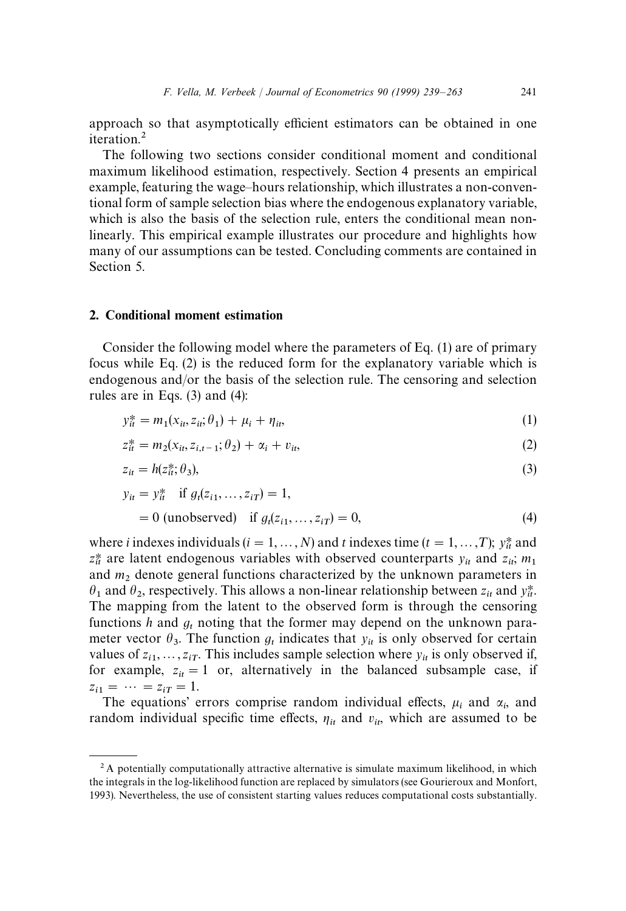approach so that asymptotically efficient estimators can be obtained in one iteration.2

The following two sections consider conditional moment and conditional maximum likelihood estimation, respectively. Section 4 presents an empirical example, featuring the wage*—*hours relationship, which illustrates a non-conventional form of sample selection bias where the endogenous explanatory variable, which is also the basis of the selection rule, enters the conditional mean nonlinearly. This empirical example illustrates our procedure and highlights how many of our assumptions can be tested. Concluding comments are contained in Section 5.

#### 2. Conditional moment estimation

Consider the following model where the parameters of Eq. (1) are of primary focus while Eq. (2) is the reduced form for the explanatory variable which is endogenous and/or the basis of the selection rule. The censoring and selection rules are in Eqs. (3) and (4):

$$
y_{it}^* = m_1(x_{it}, z_{it}; \theta_1) + \mu_i + \eta_{it}, \tag{1}
$$

$$
z_{it}^* = m_2(x_{it}, z_{i,t-1}; \theta_2) + \alpha_i + v_{it}, \tag{2}
$$

$$
z_{it} = h(z_{it}^*; \theta_3),\tag{3}
$$

$$
y_{it} = y_{it}^{*} \text{ if } g_t(z_{i1},...,z_{iT}) = 1,= 0 \text{ (unobserved) if } g_t(z_{i1},...,z_{iT}) = 0,
$$
 (4)

where *i* indexes individuals ( $i = 1, ..., N$ ) and *t* indexes time ( $t = 1, ..., T$ ); *y*<sub>H</sub><sup>\*</sup> and  $z_{tt}^*$  are latent endogenous variables with observed counterparts  $y_{it}$  and *z* and  $m_2$  denote general functions characterized by the unknown parameters in  $\theta_1$  and  $\theta_2$ , respectively. This allows a non-linear relationship between  $z_{it}$  and  $y_{it}^*$ . The mapping from the latent to the observed form is through the censoring functions  $h$  and  $g_t$  noting that the former may depend on the unknown parameter vector  $\theta_3$ . The function  $g_t$  indicates that  $y_{it}$  is only observed for certain values of  $z_{i1}, \ldots, z_{iT}$ . This includes sample selection where  $y_{it}$  is only observed if, for example,  $z_{it} = 1$  or, alternatively in the balanced subsample case, if  $z_{i1} = \cdots = z_{iT} = 1.$ 

The equations' errors comprise random individual effects,  $\mu_i$  and  $\alpha_i$ , and random individual specific time effects,  $\eta_{it}$  and  $v_{it}$ , which are assumed to be

<sup>&</sup>lt;sup>2</sup> A potentially computationally attractive alternative is simulate maximum likelihood, in which the integrals in the log-likelihood function are replaced by simulators (see Gourieroux and Monfort, 1993). Nevertheless, the use of consistent starting values reduces computational costs substantially.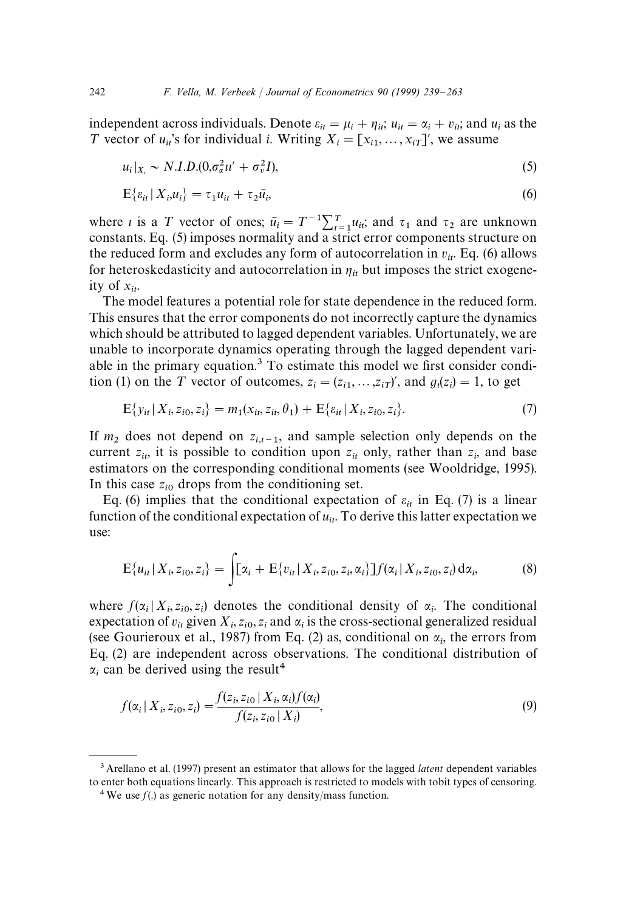independent across individuals. Denote  $\varepsilon_{it} = \mu_i + \eta_{it}$ ;  $u_{it} = \alpha_i + v_{it}$ ; and  $u_i$  as the T vector of  $u_{it}$ 's for individual *i*. Writing  $X_i = [x_{i1}, \dots, x_{iT}]'$ , we assume

$$
u_i|_{X_i} \sim N.I.D.(0,\sigma_\alpha^2 u' + \sigma_v^2 I),\tag{5}
$$

$$
E\{\varepsilon_{it} | X_{i}, u_{i}\} = \tau_{1} u_{it} + \tau_{2} \bar{u}_{i}, \tag{6}
$$

where *i* is a *T* vector of ones;  $\bar{u}_i = T^{-1} \sum_{t=1}^T u_{ii}$ ; and  $\tau_1$  and  $\tau_2$  are unknown constants. Eq. (5) imposes normality and a strict error components structure on the reduced form and excludes any form of autocorrelation in  $v_{it}$ . Eq. (6) allows for heteroskedasticity and autocorrelation in  $\eta_{it}$  but imposes the strict exogeneity of  $x_{it}$ .

The model features a potential role for state dependence in the reduced form. This ensures that the error components do not incorrectly capture the dynamics which should be attributed to lagged dependent variables. Unfortunately, we are unable to incorporate dynamics operating through the lagged dependent variable in the primary equation.3 To estimate this model we first consider condition (1) on the *T* vector of outcomes,  $z_i = (z_{i1}, \dots, z_{iT})'$ , and  $g_t(z_i) = 1$ , to get

$$
E\{y_{it} | X_i, z_{i0}, z_i\} = m_1(x_{it}, z_{it}, \theta_1) + E\{\varepsilon_{it} | X_i, z_{i0}, z_i\}.
$$
 (7)

If  $m_2$  does not depend on  $z_{i,t-1}$ , and sample selection only depends on the current  $z_{it}$ , it is possible to condition upon  $z_{it}$  only, rather than  $z_i$ , and base estimators on the corresponding conditional moments (see Wooldridge, 1995). In this case  $z_{i0}$  drops from the conditioning set.

Eq. (6) implies that the conditional expectation of  $\varepsilon_{it}$  in Eq. (7) is a linear function of the conditional expectation of  $u_{it}$ . To derive this latter expectation we use:

$$
E\{u_{it}|X_i, z_{i0}, z_i\} = \int [\alpha_i + E\{v_{it}|X_i, z_{i0}, z_i, \alpha_i\}] f(\alpha_i | X_i, z_{i0}, z_i) d\alpha_i, \tag{8}
$$

where  $f(\alpha_i | X_i, z_{i0}, z_i)$  denotes the conditional density of  $\alpha_i$ . The conditional expectation of  $v_{it}$  given  $X_i$ ,  $z_{i0}$ ,  $z_i$  and  $\alpha_i$  is the cross-sectional generalized residual (see Gourieroux et al., 1987) from Eq. (2) as, conditional on  $\alpha_i$ , the errors from Eq. (2) are independent across observations. The conditional distribution of  $\alpha_i$  can be derived using the result<sup>4</sup>

$$
f(\alpha_i | X_i, z_{i0}, z_i) = \frac{f(z_i, z_{i0} | X_i, \alpha_i) f(\alpha_i)}{f(z_i, z_{i0} | X_i)},
$$
\n(9)

<sup>3</sup> Arellano et al. (1997) present an estimator that allows for the lagged *latent* dependent variables to enter both equations linearly. This approach is restricted to models with tobit types of censoring.

<sup>&</sup>lt;sup>4</sup> We use  $f(.)$  as generic notation for any density/mass function.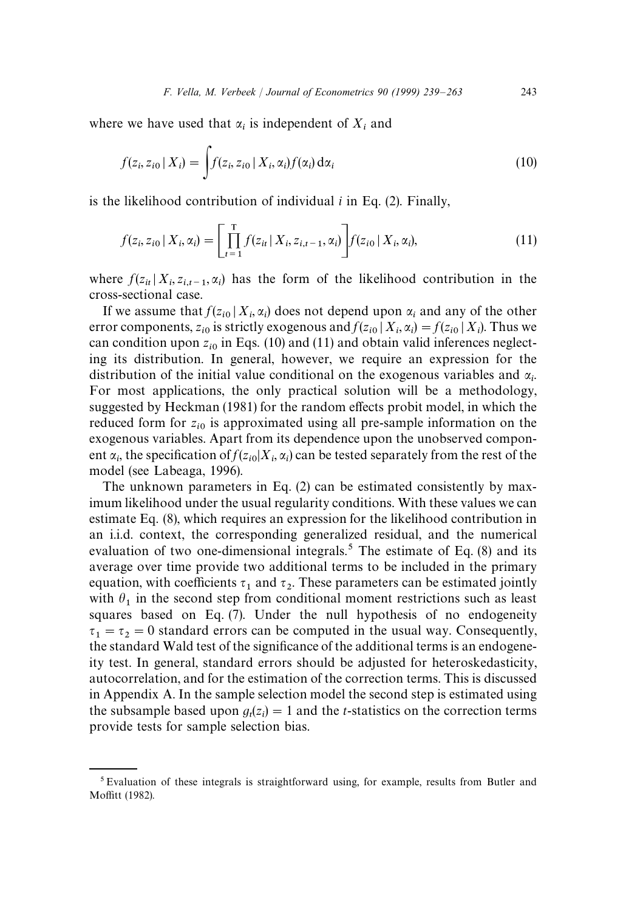where we have used that  $\alpha_i$  is independent of  $X_i$  and

$$
f(z_i, z_{i0} | X_i) = \int f(z_i, z_{i0} | X_i, \alpha_i) f(\alpha_i) d\alpha_i
$$
\n(10)

is the likelihood contribution of individual *i* in Eq. (2). Finally,

$$
f(z_i, z_{i0} | X_i, \alpha_i) = \left[ \prod_{t=1}^T f(z_{it} | X_i, z_{i,t-1}, \alpha_i) \right] f(z_{i0} | X_i, \alpha_i), \tag{11}
$$

where  $f(z_{it} | X_i, z_{i,t-1}, \alpha_i)$  has the form of the likelihood contribution in the cross-sectional case.

If we assume that  $f(z_{i0} | X_i, \alpha_i)$  does not depend upon  $\alpha_i$  and any of the other error components,  $z_{i0}$  is strictly exogenous and  $f(z_{i0} | X_i, \alpha_i) = f(z_{i0} | X_i)$ . Thus we can condition upon  $z_{i0}$  in Eqs. (10) and (11) and obtain valid inferences neglecting its distribution. In general, however, we require an expression for the distribution of the initial value conditional on the exogenous variables and  $\alpha_i$ . For most applications, the only practical solution will be a methodology, suggested by Heckman (1981) for the random effects probit model, in which the reduced form for  $z_{i0}$  is approximated using all pre-sample information on the exogenous variables. Apart from its dependence upon the unobserved component  $\alpha_i$ , the specification of  $f(z_{i0}|X_i, \alpha_i)$  can be tested separately from the rest of the model (see Labeaga, 1996).

The unknown parameters in Eq. (2) can be estimated consistently by maximum likelihood under the usual regularity conditions. With these values we can estimate Eq. (8), which requires an expression for the likelihood contribution in an i.i.d. context, the corresponding generalized residual, and the numerical evaluation of two one-dimensional integrals.<sup>5</sup> The estimate of Eq.  $(8)$  and its average over time provide two additional terms to be included in the primary equation, with coefficients  $\tau_1$  and  $\tau_2$ . These parameters can be estimated jointly with  $\theta_1$  in the second step from conditional moment restrictions such as least squares based on Eq. (7). Under the null hypothesis of no endogeneity  $\tau_1 = \tau_2 = 0$  standard errors can be computed in the usual way. Consequently,  $t_1 - t_2 = 0$  standard errors can be computed in the usuar way. Consequently, the standard Wald test of the significance of the additional terms is an endogeneity test. In general, standard errors should be adjusted for heteroskedasticity, autocorrelation, and for the estimation of the correction terms. This is discussed in Appendix A. In the sample selection model the second step is estimated using the subsample based upon  $g_t(z_i) = 1$  and the *t*-statistics on the correction terms provide tests for sample selection bias.

<sup>&</sup>lt;sup>5</sup>Evaluation of these integrals is straightforward using, for example, results from Butler and Moffitt (1982).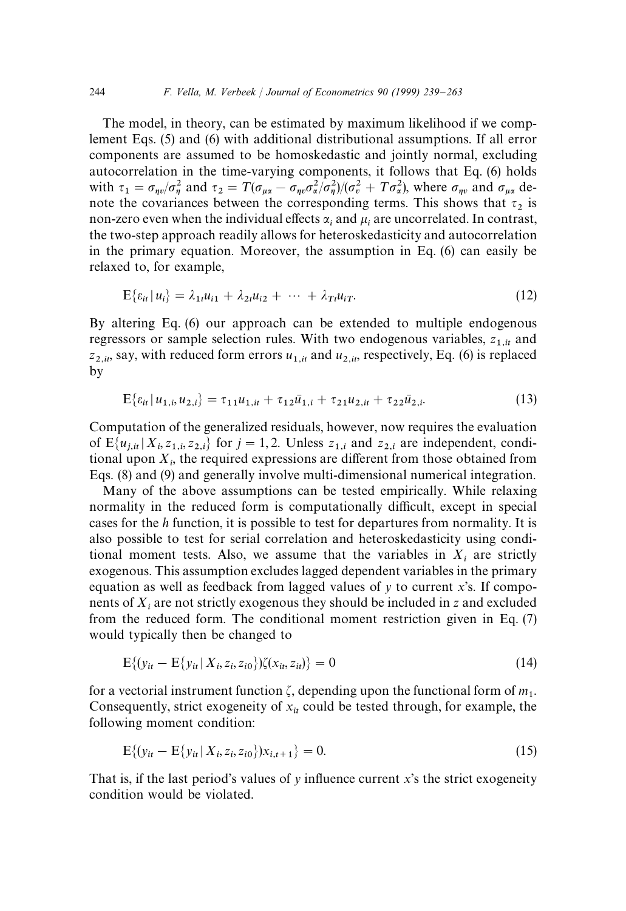The model, in theory, can be estimated by maximum likelihood if we complement Eqs. (5) and (6) with additional distributional assumptions. If all error components are assumed to be homoskedastic and jointly normal, excluding autocorrelation in the time-varying components, it follows that Eq. (6) holds with  $\tau_1 = \sigma_{\eta v}/\sigma_{\eta}^2$  and  $\tau_2 = T(\sigma_{\mu\alpha} - \sigma_{\eta v}\sigma_{\alpha}^2/\sigma_{\eta}^2)/(\sigma_v^2 + T\sigma_{\alpha}^2)$ , where  $\sigma_{\eta v}$  and  $\sigma_{\mu\alpha}$  denote the covariances between the corresponding terms. This shows that  $\tau_2$  is non-zero even when the individual effects  $\alpha_i$  and  $\mu_i$  are uncorrelated. In contrast, the two-step approach readily allows for heteroskedasticity and autocorrelation in the primary equation. Moreover, the assumption in Eq. (6) can easily be relaxed to, for example,

$$
E\{\varepsilon_{it} | u_i\} = \lambda_{1t} u_{i1} + \lambda_{2t} u_{i2} + \cdots + \lambda_{Tt} u_{iT}.
$$
 (12)

By altering Eq. (6) our approach can be extended to multiple endogenous regressors or sample selection rules. With two endogenous variables,  $z_{1, it}$  and  $z_{2,it}$ , say, with reduced form errors  $u_{1,it}$  and  $u_{2,it}$ , respectively, Eq. (6) is replaced by

$$
E\{\varepsilon_{it} | u_{1,i}, u_{2,i}\} = \tau_{11} u_{1,i} + \tau_{12} \bar{u}_{1,i} + \tau_{21} u_{2,i} + \tau_{22} \bar{u}_{2,i}.
$$
 (13)

Computation of the generalized residuals, however, now requires the evaluation of  $E\{\mathbf{u}_{j,i\mathbf{i}} | X_i, z_{1,i}, z_{2,i}\}$  for  $j = 1, 2$ . Unless  $z_{1,i}$  and  $z_{2,i}$  are independent, conditional upon  $X_i$ , the required expressions are different from those obtained from Eqs. (8) and (9) and generally involve multi-dimensional numerical integration.

Many of the above assumptions can be tested empirically. While relaxing normality in the reduced form is computationally difficult, except in special cases for the *h* function, it is possible to test for departures from normality. It is also possible to test for serial correlation and heteroskedasticity using conditional moment tests. Also, we assume that the variables in  $X_i$  are strictly exogenous. This assumption excludes lagged dependent variables in the primary equation as well as feedback from lagged values of *y* to current *x*'s. If components of *X*iare not strictly exogenous they should be included in *z* and excluded from the reduced form. The conditional moment restriction given in Eq. (7) would typically then be changed to

$$
E\{(y_{it} - E\{y_{it} | X_i, z_i, z_{i0}\})\zeta(x_{it}, z_{it})\} = 0
$$
\n(14)

for a vectorial instrument function  $\zeta$ , depending upon the functional form of  $m_1$ . Consequently, strict exogeneity of  $x_{it}$  could be tested through, for example, the following moment condition:

$$
E\{(y_{it} - E\{y_{it} | X_i, z_i, z_{i0}\})x_{i,t+1}\} = 0.
$$
\n(15)

That is, if the last period's values of *y* influence current *x*'s the strict exogeneity condition would be violated.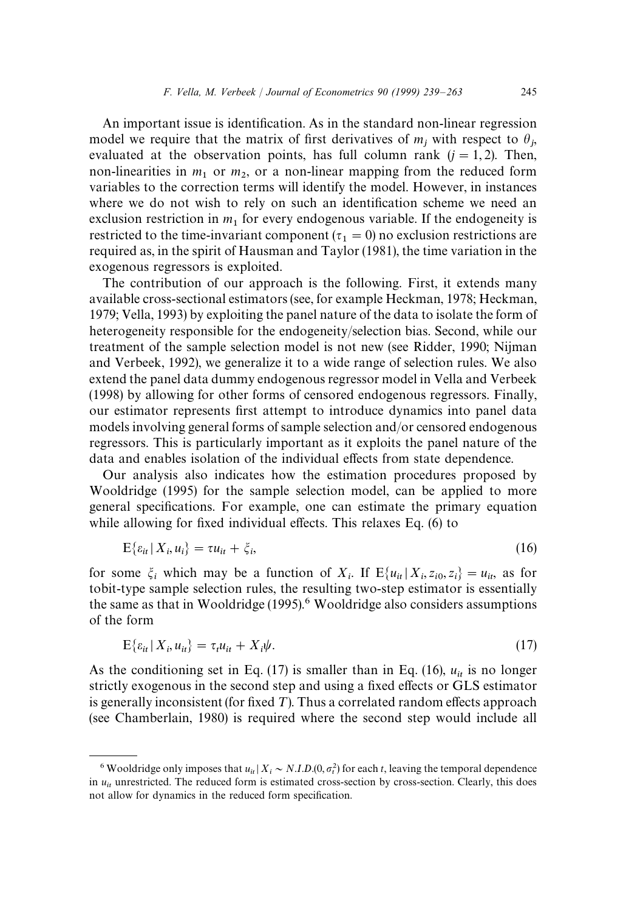An important issue is identification. As in the standard non-linear regression model we require that the matrix of first derivatives of  $m_j$  with respect to  $\theta_j$ , evaluated at the observation points, has full column rank  $(j = 1, 2)$ . Then, non-linearities in  $m_1$  or  $m_2$ , or a non-linear mapping from the reduced form variables to the correction terms will identify the model. However, in instances where we do not wish to rely on such an identification scheme we need an exclusion restriction in  $m_1$  for every endogenous variable. If the endogeneity is restricted to the time-invariant component  $(\tau_1 = 0)$  no exclusion restrictions are required as, in the spirit of Hausman and Taylor (1981), the time variation in the exogenous regressors is exploited.

The contribution of our approach is the following. First, it extends many available cross-sectional estimators (see, for example Heckman, 1978; Heckman, 1979; Vella, 1993) by exploiting the panel nature of the data to isolate the form of heterogeneity responsible for the endogeneity/selection bias. Second, while our treatment of the sample selection model is not new (see Ridder, 1990; Nijman and Verbeek, 1992), we generalize it to a wide range of selection rules. We also extend the panel data dummy endogenous regressor model in Vella and Verbeek (1998) by allowing for other forms of censored endogenous regressors. Finally, our estimator represents first attempt to introduce dynamics into panel data models involving general forms of sample selection and/or censored endogenous regressors. This is particularly important as it exploits the panel nature of the data and enables isolation of the individual effects from state dependence.

Our analysis also indicates how the estimation procedures proposed by Wooldridge (1995) for the sample selection model, can be applied to more general specifications. For example, one can estimate the primary equation while allowing for fixed individual effects. This relaxes Eq. (6) to

$$
E\{\varepsilon_{it} | X_i, u_i\} = \tau u_{it} + \xi_i, \tag{16}
$$

for some  $\xi_i$  which may be a function of  $X_i$ . If  $E\{u_{it} | X_i, z_{i0}, z_i\} = u_{it}$ , as for tobit-type sample selection rules, the resulting two-step estimator is essentially the same as that in Wooldridge (1995).<sup>6</sup> Wooldridge also considers assumptions of the form

$$
E\{\varepsilon_{it} | X_i, u_{it}\} = \tau_t u_{it} + X_i \psi.
$$
 (17)

As the conditioning set in Eq.  $(17)$  is smaller than in Eq.  $(16)$ ,  $u_{it}$  is no longer strictly exogenous in the second step and using a fixed effects or GLS estimator is generally inconsistent (for fixed  $T$ ). Thus a correlated random effects approach (see Chamberlain, 1980) is required where the second step would include all

<sup>&</sup>lt;sup>6</sup> Wooldridge only imposes that  $u_{it} | X_i \sim N.I.D.(0, \sigma_t^2)$  for each *t*, leaving the temporal dependence in  $u_{it}$  unrestricted. The reduced form is estimated cross-section by cross-section. Clearly, this does not allow for dynamics in the reduced form specification.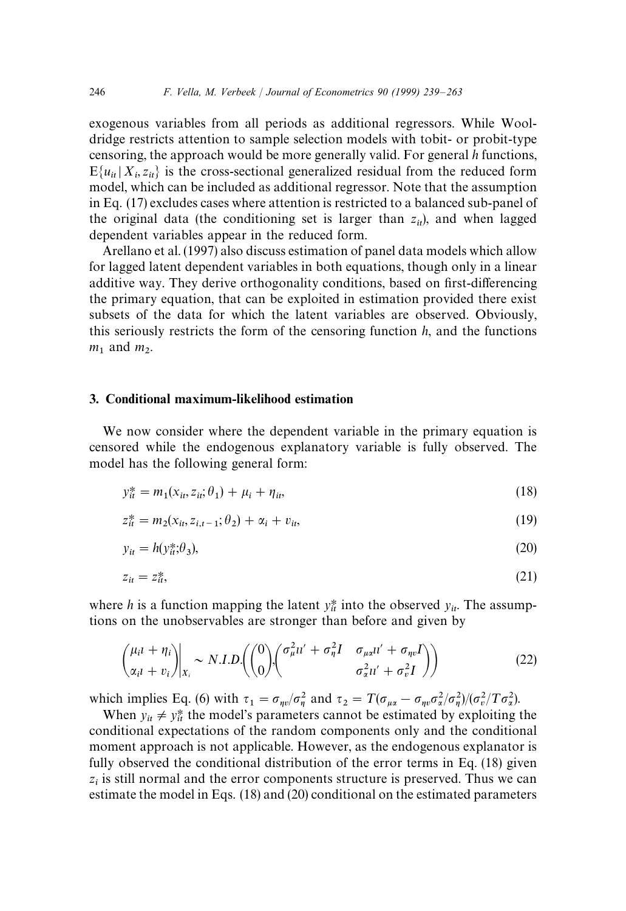exogenous variables from all periods as additional regressors. While Wooldridge restricts attention to sample selection models with tobit- or probit-type censoring, the approach would be more generally valid. For general *h* functions,  $E\{u_{it} | X_i, z_{it}\}$  is the cross-sectional generalized residual from the reduced form model, which can be included as additional regressor. Note that the assumption in Eq. (17) excludes cases where attention is restricted to a balanced sub-panel of the original data (the conditioning set is larger than  $z_{it}$ ), and when lagged dependent variables appear in the reduced form.

Arellano et al. (1997) also discuss estimation of panel data models which allow for lagged latent dependent variables in both equations, though only in a linear additive way. They derive orthogonality conditions, based on first-differencing the primary equation, that can be exploited in estimation provided there exist subsets of the data for which the latent variables are observed. Obviously, this seriously restricts the form of the censoring function *h*, and the functions  $m_1$  and  $m_2$ .

#### 3. Conditional maximum-likelihood estimation

We now consider where the dependent variable in the primary equation is censored while the endogenous explanatory variable is fully observed. The model has the following general form:

$$
y_{it}^* = m_1(x_{it}, z_{it}; \theta_1) + \mu_i + \eta_{it}, \tag{18}
$$

$$
z_{it}^* = m_2(x_{it}, z_{i,t-1}; \theta_2) + \alpha_i + v_{it}, \tag{19}
$$

$$
y_{it} = h(y_{it}^*, \theta_3),\tag{20}
$$

$$
z_{it} = z_{it}^*,\tag{21}
$$

where *h* is a function mapping the latent  $y_{it}^*$  into the observed  $y_{it}$ . The assumptions on the unobservables are stronger than before and given by

$$
\begin{pmatrix} \mu_i l + \eta_i \\ \alpha_i l + v_i \end{pmatrix}_{X_i} \sim N.I.D. \left( \begin{pmatrix} 0 \\ 0 \end{pmatrix}, \begin{pmatrix} \sigma_{\mu}^2 l l' + \sigma_{\eta}^2 I & \sigma_{\mu \alpha} l l' + \sigma_{\eta \nu} I \\ \sigma_{\alpha}^2 l' + \sigma_{\nu}^2 I \end{pmatrix} \right)
$$
(22)

which implies Eq. (6) with  $\tau_1 = \sigma_{\eta\nu}/\sigma_{\eta}^2$  and  $\tau_2 = T(\sigma_{\mu\alpha} - \sigma_{\eta\nu}\sigma_{\alpha}^2/\sigma_{\eta}^2)/(\sigma_{\nu}^2/T\sigma_{\alpha}^2)$ .

When  $y_{it} \neq y_{it}^*$  the model's parameters cannot be estimated by exploiting the conditional expectations of the random components only and the conditional moment approach is not applicable. However, as the endogenous explanator is fully observed the conditional distribution of the error terms in Eq. (18) given  $z_i$  is still normal and the error components structure is preserved. Thus we can estimate the model in Eqs. (18) and (20) conditional on the estimated parameters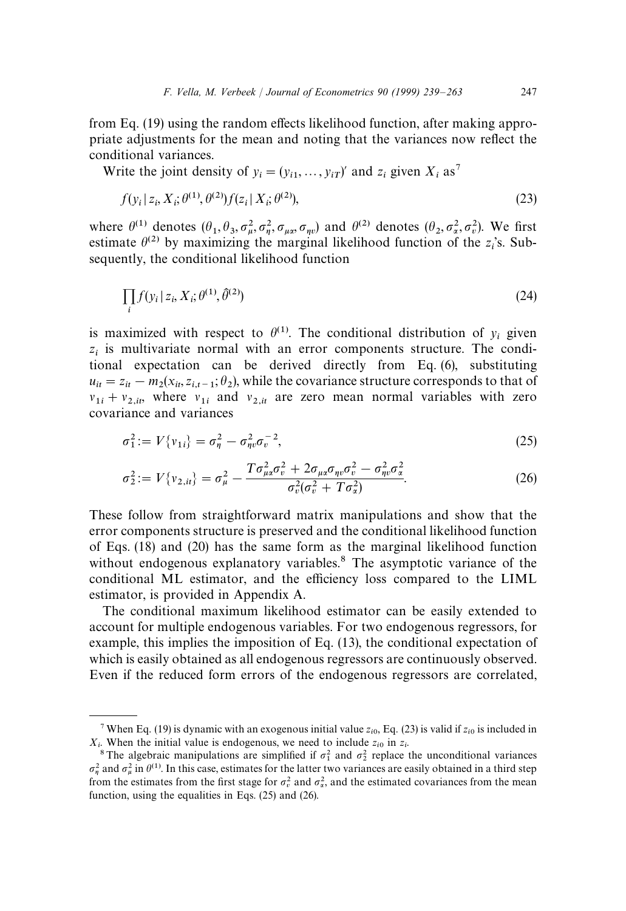from Eq. (19) using the random effects likelihood function, after making appropriate adjustments for the mean and noting that the variances now reflect the conditional variances.

Write the joint density of  $y_i = (y_{i1}, \dots, y_{iT})'$  and  $z_i$  given  $X_i$  as<sup>7</sup>

$$
f(y_i | z_i, X_i; \theta^{(1)}, \theta^{(2)}) f(z_i | X_i; \theta^{(2)}),
$$
\n(23)

where  $\theta^{(1)}$  denotes  $(\theta_1, \theta_3, \sigma_\mu^2, \sigma_\eta^2, \sigma_{\mu\alpha}, \sigma_{\eta\nu})$  and  $\theta^{(2)}$  denotes  $(\theta_2, \sigma_\alpha^2, \sigma_\nu^2)$ . We first estimate  $\theta^{(2)}$  by maximizing the marginal likelihood function of the *z*<sub>*i*</sub>'s. Subsequently, the conditional likelihood function

$$
\prod_i f(y_i \,|\, z_i, X_i; \theta^{(1)}, \hat{\theta}^{(2)}) \tag{24}
$$

is maximized with respect to  $\theta^{(1)}$ . The conditional distribution of  $y_i$  given  $z_i$  is multivariate normal with an error components structure. The conditional expectation can be derived directly from Eq. (6), substituting  $u_{it} = z_{it} - m_2(x_{it}, z_{i,t-1}; \theta_2)$ , while the covariance structure corresponds to that of  $u_{it} = z_{it} - m_2(x_{it}, z_{i,t-1}, v_2)$ , while the covariance structure corresponds to that or  $v_{1i} + v_{2,it}$ , where  $v_{1i}$  and  $v_{2,it}$  are zero mean normal variables with zero covariance and variances

$$
\sigma_1^2 := V\{v_{1i}\} = \sigma_\eta^2 - \sigma_{\eta\nu}^2 \sigma_\nu^{-2},\tag{25}
$$

$$
\sigma_2^2 := V\{v_{2,it}\} = \sigma_\mu^2 - \frac{T\sigma_{\mu\alpha}^2 \sigma_v^2 + 2\sigma_{\mu\alpha} \sigma_{\eta\nu} \sigma_v^2 - \sigma_{\eta\nu}^2 \sigma_{\alpha}^2}{\sigma_v^2 (\sigma_v^2 + T\sigma_\alpha^2)}.
$$
(26)

These follow from straightforward matrix manipulations and show that the error components structure is preserved and the conditional likelihood function of Eqs. (18) and (20) has the same form as the marginal likelihood function without endogenous explanatory variables.<sup>8</sup> The asymptotic variance of the conditional ML estimator, and the efficiency loss compared to the LIML estimator, is provided in Appendix A.

The conditional maximum likelihood estimator can be easily extended to account for multiple endogenous variables. For two endogenous regressors, for example, this implies the imposition of Eq. (13), the conditional expectation of which is easily obtained as all endogenous regressors are continuously observed. Even if the reduced form errors of the endogenous regressors are correlated,

<sup>&</sup>lt;sup>7</sup> When Eq. (19) is dynamic with an exogenous initial value  $z_{i0}$ , Eq. (23) is valid if  $z_{i0}$  is included in *X*<sub>i</sub>. When the initial value is endogenous, we need to include  $z_{i0}$  in  $z_i$ .

<sup>&</sup>lt;sup>8</sup>The algebraic manipulations are simplified if  $\sigma_1^2$  and  $\sigma_2^2$  replace the unconditional variances  $\sigma_n^2$  and  $\sigma_n^2$  in  $\theta^{(1)}$ . In this case, estimates for the latter two variances are easily obtained in a third step from the estimates from the first stage for  $\sigma_v^2$  and  $\sigma_x^2$ , and the estimated covariances from the mean function, using the equalities in Eqs. (25) and (26).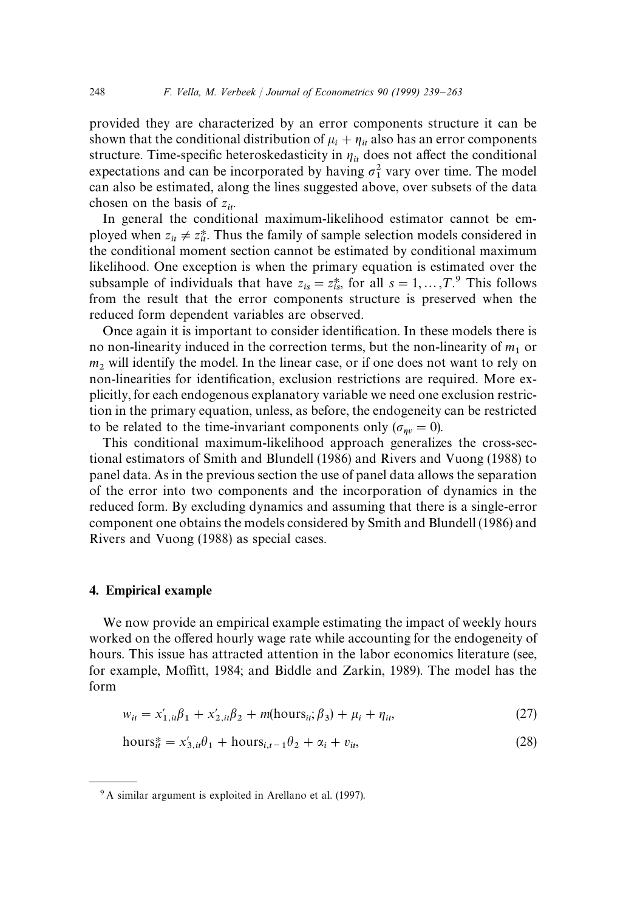provided they are characterized by an error components structure it can be shown that the conditional distribution of  $\mu_i + \eta_{it}$  also has an error components structure. Time-specific heteroskedasticity in  $\eta_{it}$  does not affect the conditional expectations and can be incorporated by having  $\sigma_1^2$  vary over time. The model can also be estimated, along the lines suggested above, over subsets of the data chosen on the basis of  $z_{it}$ .

In general the conditional maximum-likelihood estimator cannot be employed when  $z_{it} \neq z_{it}^*$ . Thus the family of sample selection models considered in the conditional moment section cannot be estimated by conditional maximum likelihood. One exception is when the primary equation is estimated over the subsample of individuals that have  $z_{is} = z_{is}^*$ , for all  $s = 1, ..., T$ .<sup>9</sup> This follows from the result that the error components structure is preserved when the reduced form dependent variables are observed.

Once again it is important to consider identification. In these models there is no non-linearity induced in the correction terms, but the non-linearity of  $m_1$  or *<sup>m</sup>*<sup>2</sup> will identify the model. In the linear case, or if one does not want to rely on non-linearities for identification, exclusion restrictions are required. More explicitly, for each endogenous explanatory variable we need one exclusion restriction in the primary equation, unless, as before, the endogeneity can be restricted to be related to the time-invariant components only ( $\sigma_{\eta v} = 0$ ).

 This conditional maximum-likelihood approach generalizes the cross-sectional estimators of Smith and Blundell (1986) and Rivers and Vuong (1988) to panel data. As in the previous section the use of panel data allows the separation of the error into two components and the incorporation of dynamics in the reduced form. By excluding dynamics and assuming that there is a single-error component one obtains the models considered by Smith and Blundell (1986) and Rivers and Vuong (1988) as special cases.

# 4. Empirical example

We now provide an empirical example estimating the impact of weekly hours worked on the offered hourly wage rate while accounting for the endogeneity of hours. This issue has attracted attention in the labor economics literature (see, for example, Moffitt, 1984; and Biddle and Zarkin, 1989). The model has the form

$$
w_{it} = x'_{1,it}\beta_1 + x'_{2,it}\beta_2 + m(\text{hours}_{it}; \beta_3) + \mu_i + \eta_{it},\tag{27}
$$

$$
\text{hours}_{it}^* = x_{3,it}'\theta_1 + \text{hours}_{i,t-1}\theta_2 + \alpha_i + v_{it},\tag{28}
$$

<sup>9</sup> A similar argument is exploited in Arellano et al. (1997).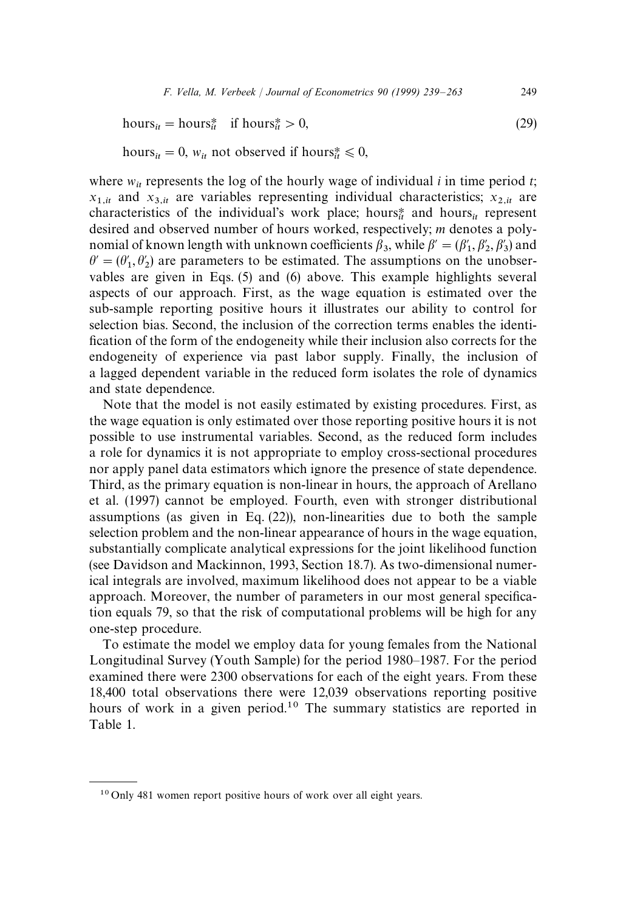hours<sub>*it*</sub> = hours<sub>*it*</sub> if hours<sub>*it*</sub>  $i_t^* > 0,$  (29)

hours<sub>*it*</sub> = 0,  $w_{it}$  not observed if hours<sub>*it*</sub>  $\leq 0$ ,

where  $w_{it}$  represents the log of the hourly wage of individual *i* in time period *t*;  $x_{1, it}$  and  $x_{3, it}$  are variables representing individual characteristics;  $x_{2, it}$  are characteristics of the individual's work place; hours<sup>\*</sup> and hours<sub>it</sub> represent desired and observed number of hours worked, respectively; *m* denotes a polynomial of known length with unknown coefficients  $\beta_3$ , while  $\beta' = (\beta'_1, \beta'_2, \beta'_3)$  and  $\theta' = (\theta'_1, \theta'_2)$  are parameters to be estimated. The assumptions on the unobser $v = (v_1, v_2)$  are parameters to be estimated. The assumptions on the unobservables are given in Eqs. (5) and (6) above. This example highlights several aspects of our approach. First, as the wage equation is estimated over the sub-sample reporting positive hours it illustrates our ability to control for selection bias. Second, the inclusion of the correction terms enables the identification of the form of the endogeneity while their inclusion also corrects for the endogeneity of experience via past labor supply. Finally, the inclusion of a lagged dependent variable in the reduced form isolates the role of dynamics and state dependence.

Note that the model is not easily estimated by existing procedures. First, as the wage equation is only estimated over those reporting positive hours it is not possible to use instrumental variables. Second, as the reduced form includes a role for dynamics it is not appropriate to employ cross-sectional procedures nor apply panel data estimators which ignore the presence of state dependence. Third, as the primary equation is non-linear in hours, the approach of Arellano et al. (1997) cannot be employed. Fourth, even with stronger distributional assumptions (as given in Eq. (22)), non-linearities due to both the sample selection problem and the non-linear appearance of hours in the wage equation, substantially complicate analytical expressions for the joint likelihood function (see Davidson and Mackinnon, 1993, Section 18.7). As two-dimensional numerical integrals are involved, maximum likelihood does not appear to be a viable approach. Moreover, the number of parameters in our most general specification equals 79, so that the risk of computational problems will be high for any one-step procedure.

To estimate the model we employ data for young females from the National Longitudinal Survey (Youth Sample) for the period 1980*—*1987. For the period examined there were 2300 observations for each of the eight years. From these 18,400 total observations there were 12,039 observations reporting positive hours of work in a given period.<sup>10</sup> The summary statistics are reported in Table 1.

<sup>&</sup>lt;sup>10</sup> Only 481 women report positive hours of work over all eight years.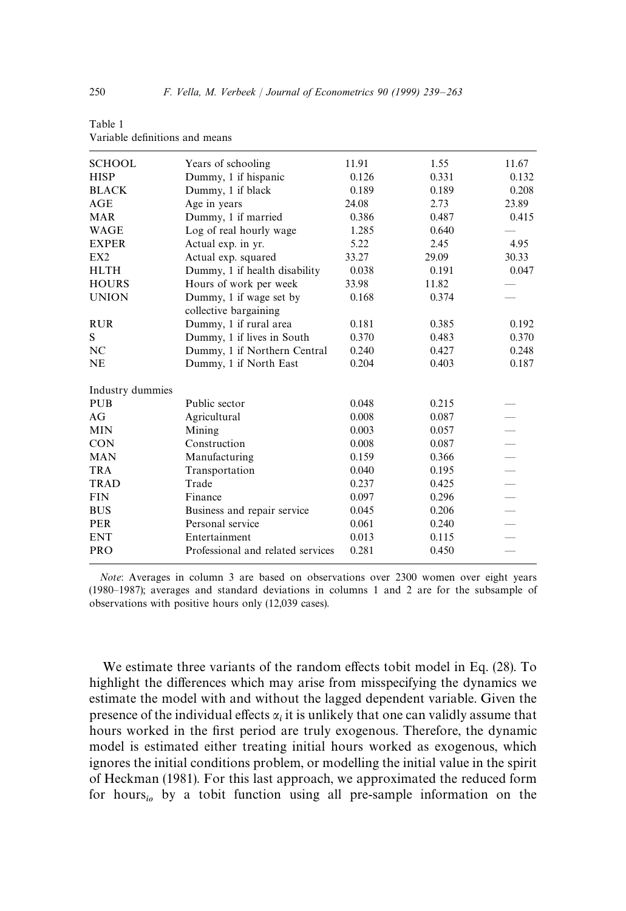| <b>SCHOOL</b>    | Years of schooling                | 11.91 | 1.55  | 11.67 |  |  |
|------------------|-----------------------------------|-------|-------|-------|--|--|
| <b>HISP</b>      | Dummy, 1 if hispanic              | 0.126 | 0.331 | 0.132 |  |  |
| <b>BLACK</b>     | Dummy, 1 if black                 | 0.189 | 0.189 | 0.208 |  |  |
| AGE              | Age in years                      | 24.08 | 2.73  | 23.89 |  |  |
| <b>MAR</b>       | Dummy, 1 if married               | 0.386 | 0.487 | 0.415 |  |  |
| WAGE             | Log of real hourly wage           | 1.285 | 0.640 |       |  |  |
| <b>EXPER</b>     | Actual exp. in yr.                | 5.22  | 2.45  | 4.95  |  |  |
| EX <sub>2</sub>  | Actual exp. squared               | 33.27 | 29.09 | 30.33 |  |  |
| <b>HLTH</b>      | Dummy, 1 if health disability     | 0.038 | 0.191 | 0.047 |  |  |
| <b>HOURS</b>     | Hours of work per week            | 33.98 | 11.82 |       |  |  |
| <b>UNION</b>     | Dummy, 1 if wage set by           | 0.168 | 0.374 |       |  |  |
|                  | collective bargaining             |       |       |       |  |  |
| <b>RUR</b>       | Dummy, 1 if rural area            | 0.181 | 0.385 | 0.192 |  |  |
| S                | Dummy, 1 if lives in South        | 0.370 | 0.483 | 0.370 |  |  |
| N <sub>C</sub>   | Dummy, 1 if Northern Central      | 0.240 | 0.427 | 0.248 |  |  |
| <b>NE</b>        | Dummy, 1 if North East            | 0.204 | 0.403 | 0.187 |  |  |
| Industry dummies |                                   |       |       |       |  |  |
| <b>PUB</b>       | Public sector                     | 0.048 | 0.215 |       |  |  |
| AG               | Agricultural                      | 0.008 | 0.087 |       |  |  |
| <b>MIN</b>       | Mining                            | 0.003 | 0.057 |       |  |  |
| <b>CON</b>       | Construction                      | 0.008 | 0.087 |       |  |  |
| <b>MAN</b>       | Manufacturing                     | 0.159 | 0.366 |       |  |  |
| <b>TRA</b>       | Transportation                    | 0.040 | 0.195 |       |  |  |
| TRAD             | Trade                             | 0.237 | 0.425 |       |  |  |
| <b>FIN</b>       | Finance                           | 0.097 | 0.296 |       |  |  |
| <b>BUS</b>       | Business and repair service       | 0.045 | 0.206 |       |  |  |
| PER              | Personal service                  | 0.061 | 0.240 |       |  |  |
| <b>ENT</b>       | Entertainment                     | 0.013 | 0.115 |       |  |  |
| <b>PRO</b>       | Professional and related services | 0.281 | 0.450 |       |  |  |
|                  |                                   |       |       |       |  |  |

Table 1 Variable definitions and means

*Note*: Averages in column 3 are based on observations over 2300 women over eight years (1980*—*1987); averages and standard deviations in columns 1 and 2 are for the subsample of observations with positive hours only (12,039 cases).

We estimate three variants of the random effects tobit model in Eq. (28). To highlight the differences which may arise from misspecifying the dynamics we estimate the model with and without the lagged dependent variable. Given the presence of the individual effects  $\alpha_i$  it is unlikely that one can validly assume that hours worked in the first period are truly exogenous. Therefore, the dynamic model is estimated either treating initial hours worked as exogenous, which ignores the initial conditions problem, or modelling the initial value in the spirit of Heckman (1981). For this last approach, we approximated the reduced form for hours<sub>io</sub> by a tobit function using all pre-sample information on the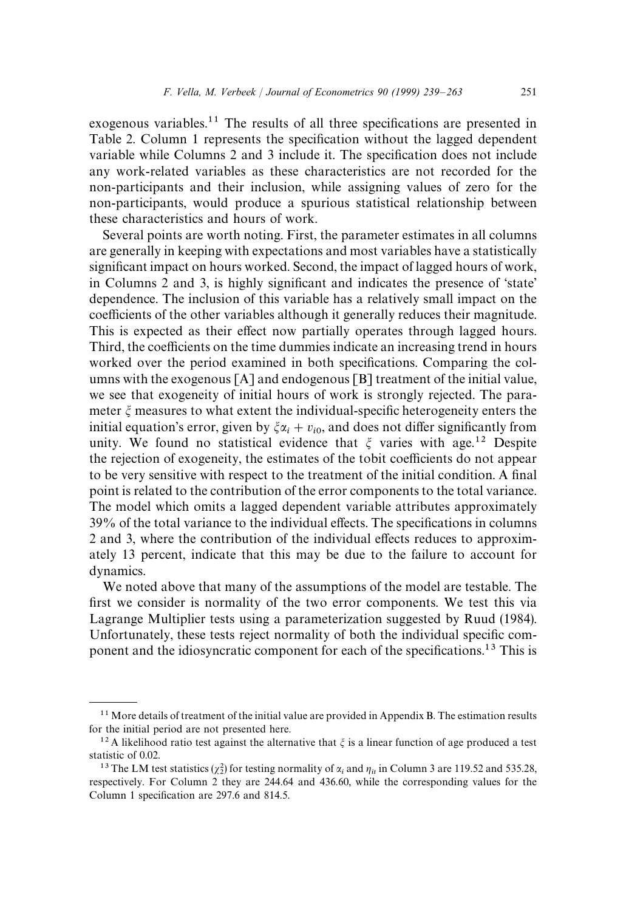exogenous variables.<sup>11</sup> The results of all three specifications are presented in Table 2. Column 1 represents the specification without the lagged dependent variable while Columns 2 and 3 include it. The specification does not include any work-related variables as these characteristics are not recorded for the non-participants and their inclusion, while assigning values of zero for the non-participants, would produce a spurious statistical relationship between these characteristics and hours of work.

Several points are worth noting. First, the parameter estimates in all columns are generally in keeping with expectations and most variables have a statistically significant impact on hours worked. Second, the impact of lagged hours of work, in Columns 2 and 3, is highly significant and indicates the presence of 'state' dependence. The inclusion of this variable has a relatively small impact on the coefficients of the other variables although it generally reduces their magnitude. This is expected as their effect now partially operates through lagged hours. Third, the coefficients on the time dummies indicate an increasing trend in hours worked over the period examined in both specifications. Comparing the columns with the exogenous [A] and endogenous [B] treatment of the initial value, we see that exogeneity of initial hours of work is strongly rejected. The parameter  $\xi$  measures to what extent the individual-specific heterogeneity enters the initial equation's error, given by  $\xi \alpha_i + v_{i0}$ , and does not differ significantly from unity. We found no statistical evidence that  $\xi$  varies with age.<sup>12</sup> Despite the rejection of exogeneity, the estimates of the tobit coefficients do not appear to be very sensitive with respect to the treatment of the initial condition. A final point is related to the contribution of the error components to the total variance. The model which omits a lagged dependent variable attributes approximately 39% of the total variance to the individual effects. The specifications in columns 2 and 3, where the contribution of the individual effects reduces to approximately 13 percent, indicate that this may be due to the failure to account for dynamics.

We noted above that many of the assumptions of the model are testable. The first we consider is normality of the two error components. We test this via Lagrange Multiplier tests using a parameterization suggested by Ruud (1984). Unfortunately, these tests reject normality of both the individual specific component and the idiosyncratic component for each of the specifications.13 This is

 $11$  More details of treatment of the initial value are provided in Appendix B. The estimation results for the initial period are not presented here.

<sup>&</sup>lt;sup>12</sup> A likelihood ratio test against the alternative that  $\zeta$  is a linear function of age produced a test statistic of 0.02.

<sup>&</sup>lt;sup>13</sup> The LM test statistics  $(\chi_2^2)$  for testing normality of  $\alpha_i$  and  $\eta_{it}$  in Column 3 are 119.52 and 535.28, respectively. For Column 2 they are 244.64 and 436.60, while the corresponding values for the Column 1 specification are 297.6 and 814.5.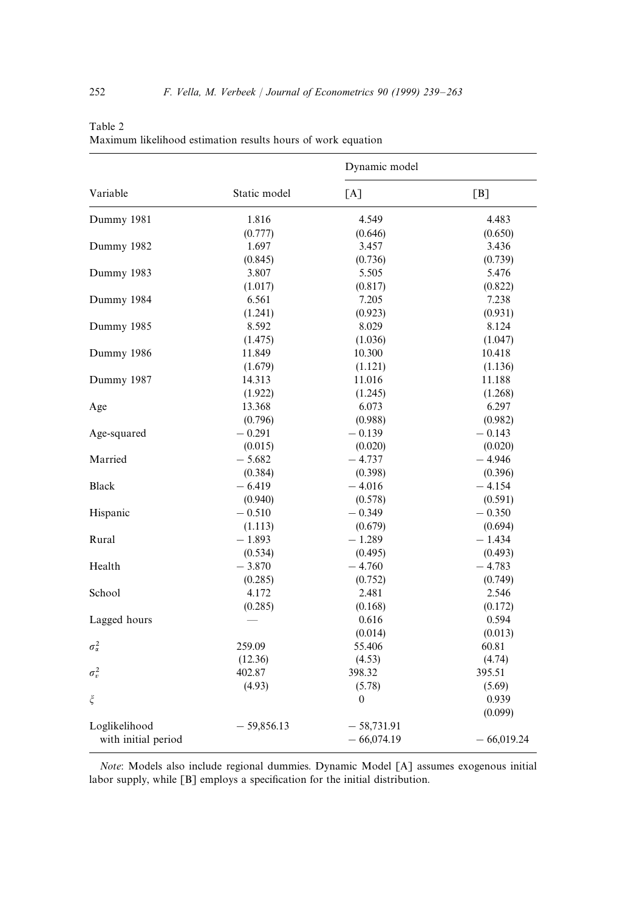|                     |              | Dynamic model |              |
|---------------------|--------------|---------------|--------------|
| Variable            | Static model | [A]           | $[B]$        |
| Dummy 1981          | 1.816        | 4.549         | 4.483        |
|                     | (0.777)      | (0.646)       | (0.650)      |
| Dummy 1982          | 1.697        | 3.457         | 3.436        |
|                     | (0.845)      | (0.736)       | (0.739)      |
| Dummy 1983          | 3.807        | 5.505         | 5.476        |
|                     | (1.017)      | (0.817)       | (0.822)      |
| Dummy 1984          | 6.561        | 7.205         | 7.238        |
|                     | (1.241)      | (0.923)       | (0.931)      |
| Dummy 1985          | 8.592        | 8.029         | 8.124        |
|                     | (1.475)      | (1.036)       | (1.047)      |
| Dummy 1986          | 11.849       | 10.300        | 10.418       |
|                     | (1.679)      | (1.121)       | (1.136)      |
| Dummy 1987          | 14.313       | 11.016        | 11.188       |
|                     | (1.922)      | (1.245)       | (1.268)      |
| Age                 | 13.368       | 6.073         | 6.297        |
|                     | (0.796)      | (0.988)       | (0.982)      |
| Age-squared         | $-0.291$     | $-0.139$      | $-0.143$     |
|                     | (0.015)      | (0.020)       | (0.020)      |
| Married             | $-5.682$     | $-4.737$      | $-4.946$     |
|                     | (0.384)      | (0.398)       | (0.396)      |
| Black               | $-6.419$     | $-4.016$      | $-4.154$     |
|                     | (0.940)      | (0.578)       | (0.591)      |
| Hispanic            | $-0.510$     | $-0.349$      | $-0.350$     |
|                     | (1.113)      | (0.679)       | (0.694)      |
| Rural               | $-1.893$     | $-1.289$      | $-1.434$     |
|                     | (0.534)      | (0.495)       | (0.493)      |
| Health              | $-3.870$     | $-4.760$      | $-4.783$     |
|                     | (0.285)      | (0.752)       | (0.749)      |
| School              | 4.172        | 2.481         | 2.546        |
|                     | (0.285)      | (0.168)       | (0.172)      |
| Lagged hours        |              | 0.616         | 0.594        |
|                     |              | (0.014)       | (0.013)      |
| $\sigma_{\alpha}^2$ | 259.09       | 55.406        | 60.81        |
|                     | (12.36)      | (4.53)        | (4.74)       |
| $\sigma_v^2$        | 402.87       | 398.32        | 395.51       |
|                     | (4.93)       | (5.78)        | (5.69)       |
| $\boldsymbol{\xi}$  |              | $\mathbf{0}$  | 0.939        |
|                     |              |               | (0.099)      |
| Loglikelihood       | $-59,856.13$ | $-58,731.91$  |              |
| with initial period |              | $-66,074.19$  | $-66,019.24$ |

Table 2 Maximum likelihood estimation results hours of work equation

*Note*: Models also include regional dummies. Dynamic Model [A] assumes exogenous initial labor supply, while [B] employs a specification for the initial distribution.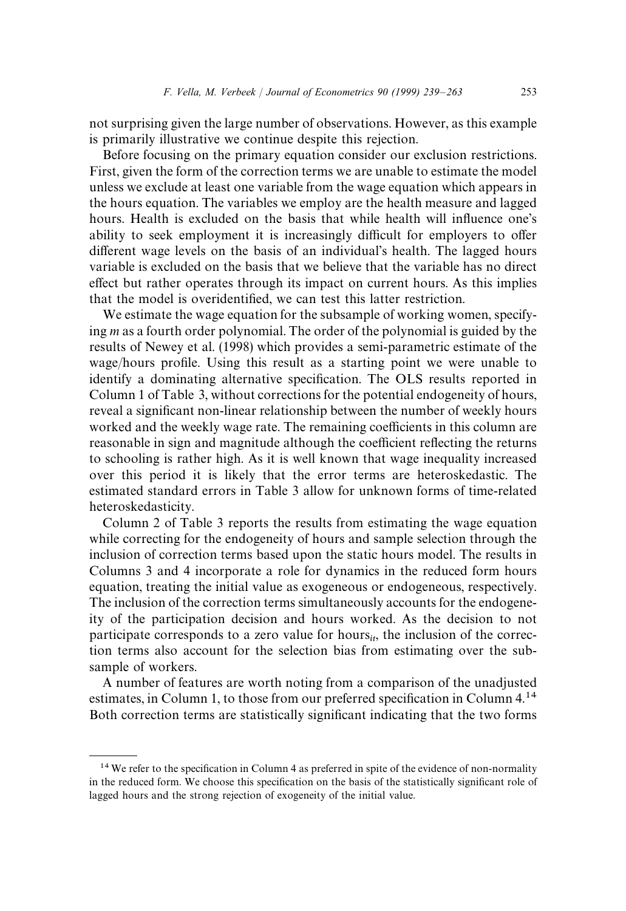not surprising given the large number of observations. However, as this example is primarily illustrative we continue despite this rejection.

Before focusing on the primary equation consider our exclusion restrictions. First, given the form of the correction terms we are unable to estimate the model unless we exclude at least one variable from the wage equation which appears in the hours equation. The variables we employ are the health measure and lagged hours. Health is excluded on the basis that while health will influence one's ability to seek employment it is increasingly difficult for employers to offer different wage levels on the basis of an individual's health. The lagged hours variable is excluded on the basis that we believe that the variable has no direct effect but rather operates through its impact on current hours. As this implies that the model is overidentified, we can test this latter restriction.

We estimate the wage equation for the subsample of working women, specifying *m* as a fourth order polynomial. The order of the polynomial is guided by the results of Newey et al. (1998) which provides a semi-parametric estimate of the wage/hours profile. Using this result as a starting point we were unable to identify a dominating alternative specification. The OLS results reported in Column 1 of Table 3, without corrections for the potential endogeneity of hours, reveal a significant non-linear relationship between the number of weekly hours worked and the weekly wage rate. The remaining coefficients in this column are reasonable in sign and magnitude although the coefficient reflecting the returns to schooling is rather high. As it is well known that wage inequality increased over this period it is likely that the error terms are heteroskedastic. The estimated standard errors in Table 3 allow for unknown forms of time-related heteroskedasticity.

Column 2 of Table 3 reports the results from estimating the wage equation while correcting for the endogeneity of hours and sample selection through the inclusion of correction terms based upon the static hours model. The results in Columns 3 and 4 incorporate a role for dynamics in the reduced form hours equation, treating the initial value as exogeneous or endogeneous, respectively. The inclusion of the correction terms simultaneously accounts for the endogeneity of the participation decision and hours worked. As the decision to not participate corresponds to a zero value for hours $_{it}$ , the inclusion of the correction terms also account for the selection bias from estimating over the subsample of workers.

A number of features are worth noting from a comparison of the unadjusted estimates, in Column 1, to those from our preferred specification in Column 4.14 Both correction terms are statistically significant indicating that the two forms

<sup>&</sup>lt;sup>14</sup> We refer to the specification in Column 4 as preferred in spite of the evidence of non-normality in the reduced form. We choose this specification on the basis of the statistically significant role of lagged hours and the strong rejection of exogeneity of the initial value.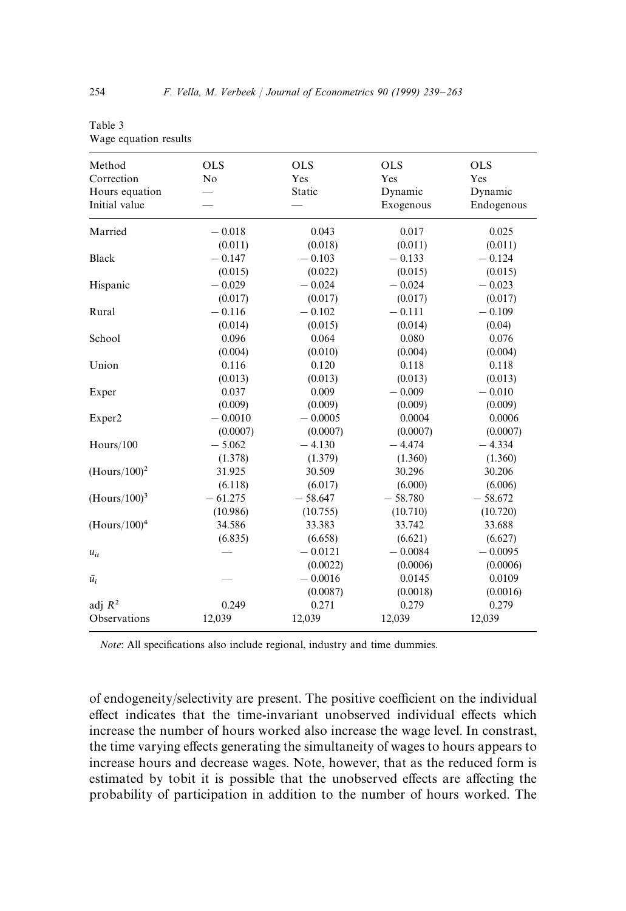| Method<br>Correction     | <b>OLS</b><br>N <sub>o</sub> | <b>OLS</b><br>Yes | <b>OLS</b><br>Yes | <b>OLS</b><br>Yes |
|--------------------------|------------------------------|-------------------|-------------------|-------------------|
| Hours equation           |                              | Static            | Dynamic           | Dynamic           |
| Initial value            |                              |                   | Exogenous         | Endogenous        |
| Married                  | $-0.018$                     | 0.043             | 0.017             | 0.025             |
|                          | (0.011)                      | (0.018)           | (0.011)           | (0.011)           |
| Black                    | $-0.147$                     | $-0.103$          | $-0.133$          | $-0.124$          |
|                          | (0.015)                      | (0.022)           | (0.015)           | (0.015)           |
| Hispanic                 | $-0.029$                     | $-0.024$          | $-0.024$          | $-0.023$          |
|                          | (0.017)                      | (0.017)           | (0.017)           | (0.017)           |
| Rural                    | $-0.116$                     | $-0.102$          | $-0.111$          | $-0.109$          |
|                          | (0.014)                      | (0.015)           | (0.014)           | (0.04)            |
| School                   | 0.096                        | 0.064             | 0.080             | 0.076             |
|                          | (0.004)                      | (0.010)           | (0.004)           | (0.004)           |
| Union                    | 0.116                        | 0.120             | 0.118             | 0.118             |
|                          | (0.013)                      | (0.013)           | (0.013)           | (0.013)           |
| Exper                    | 0.037                        | 0.009             | $-0.009$          | $-0.010$          |
|                          | (0.009)                      | (0.009)           | (0.009)           | (0.009)           |
| Exper2                   | $-0.0010$                    | $-0.0005$         | 0.0004            | 0.0006            |
|                          | (0.0007)                     | (0.0007)          | (0.0007)          | (0.0007)          |
| Hours/100                | $-5.062$                     | $-4.130$          | $-4.474$          | $-4.334$          |
|                          | (1.378)                      | (1.379)           | (1.360)           | (1.360)           |
| (Hours/100) <sup>2</sup> | 31.925                       | 30.509            | 30.296            | 30.206            |
|                          | (6.118)                      | (6.017)           | (6.000)           | (6.006)           |
| (Hours/100) <sup>3</sup> | $-61.275$                    | $-58.647$         | $-58.780$         | $-58.672$         |
|                          | (10.986)                     | (10.755)          | (10.710)          | (10.720)          |
| (Hours/100) <sup>4</sup> | 34.586                       | 33.383            | 33.742            | 33.688            |
|                          | (6.835)                      | (6.658)           | (6.621)           | (6.627)           |
| $u_{it}$                 |                              | $-0.0121$         | $-0.0084$         | $-0.0095$         |
|                          |                              | (0.0022)          | (0.0006)          | (0.0006)          |
| $\bar{u}_i$              |                              | $-0.0016$         | 0.0145            | 0.0109            |
|                          |                              | (0.0087)          | (0.0018)          | (0.0016)          |
| adj $R^2$                | 0.249                        | 0.271             | 0.279             | 0.279             |
| Observations             | 12,039                       | 12,039            | 12,039            | 12,039            |

Table 3 Wage equation results

*Note*: All specifications also include regional, industry and time dummies.

of endogeneity/selectivity are present. The positive coefficient on the individual effect indicates that the time-invariant unobserved individual effects which increase the number of hours worked also increase the wage level. In constrast, the time varying effects generating the simultaneity of wages to hours appears to increase hours and decrease wages. Note, however, that as the reduced form is estimated by tobit it is possible that the unobserved effects are affecting the probability of participation in addition to the number of hours worked. The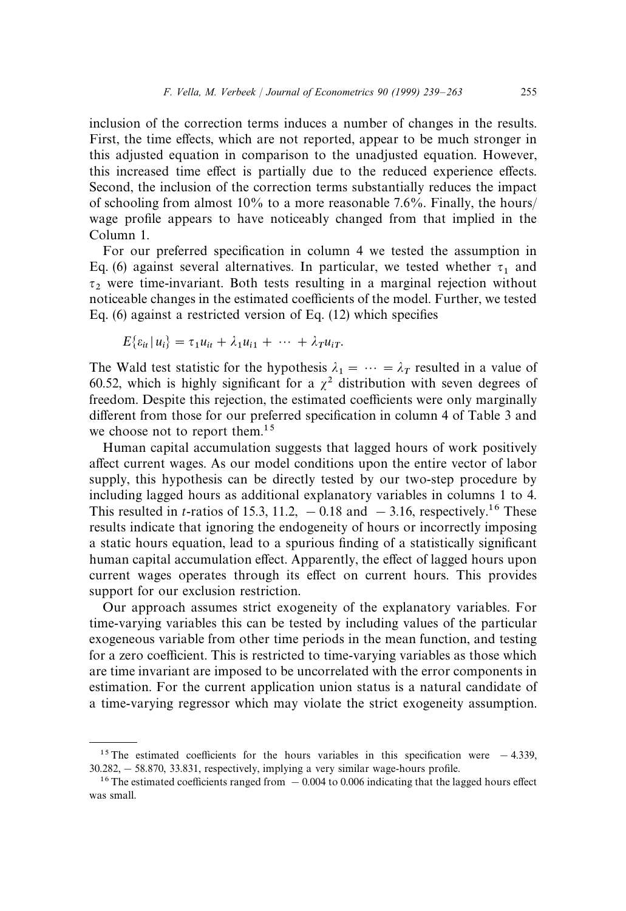inclusion of the correction terms induces a number of changes in the results. First, the time effects, which are not reported, appear to be much stronger in this adjusted equation in comparison to the unadjusted equation. However, this increased time effect is partially due to the reduced experience effects. Second, the inclusion of the correction terms substantially reduces the impact of schooling from almost 10% to a more reasonable 7.6%. Finally, the hours/ wage profile appears to have noticeably changed from that implied in the Column 1.

For our preferred specification in column 4 we tested the assumption in Eq. (6) against several alternatives. In particular, we tested whether  $\tau_1$  and  $\tau_2$  were time-invariant. Both tests resulting in a marginal rejection without noticeable changes in the estimated coefficients of the model. Further, we tested Eq. (6) against a restricted version of Eq. (12) which specifies

$$
E\{\varepsilon_{it} | u_i\} = \tau_1 u_{it} + \lambda_1 u_{i1} + \cdots + \lambda_T u_{iT}.
$$

The Wald test statistic for the hypothesis  $\lambda_1 = \cdots = \lambda_T$  resulted in a value of The wald lest statistic for the hypothesis  $x_1 = \cdots = x_T$  resulted in a value of 60.52, which is highly significant for a  $\chi^2$  distribution with seven degrees of freedom. Despite this rejection, the estimated coefficients were only marginally different from those for our preferred specification in column 4 of Table 3 and we choose not to report them.<sup>15</sup>

Human capital accumulation suggests that lagged hours of work positively affect current wages. As our model conditions upon the entire vector of labor supply, this hypothesis can be directly tested by our two-step procedure by including lagged hours as additional explanatory variables in columns 1 to 4. This resulted in *t*-ratios of 15.3, 11.2,  $-0.18$  and  $-3.16$ , respectively.<sup>16</sup> These results indicate that ignoring the endogeneity of hours or incorrectly imposing a static hours equation, lead to a spurious finding of a statistically significant human capital accumulation effect. Apparently, the effect of lagged hours upon current wages operates through its effect on current hours. This provides support for our exclusion restriction.

Our approach assumes strict exogeneity of the explanatory variables. For time-varying variables this can be tested by including values of the particular exogeneous variable from other time periods in the mean function, and testing for a zero coefficient. This is restricted to time-varying variables as those which are time invariant are imposed to be uncorrelated with the error components in estimation. For the current application union status is a natural candidate of a time-varying regressor which may violate the strict exogeneity assumption.

<sup>&</sup>lt;sup>15</sup>The estimated coefficients for the hours variables in this specification were  $-4.339$ ,  $30.282, -58.870, 33.831$ , respectively, implying a very similar wage-hours profile.

<sup>&</sup>lt;sup>16</sup> The estimated coefficients ranged from  $-0.004$  to 0.006 indicating that the lagged hours effect was small.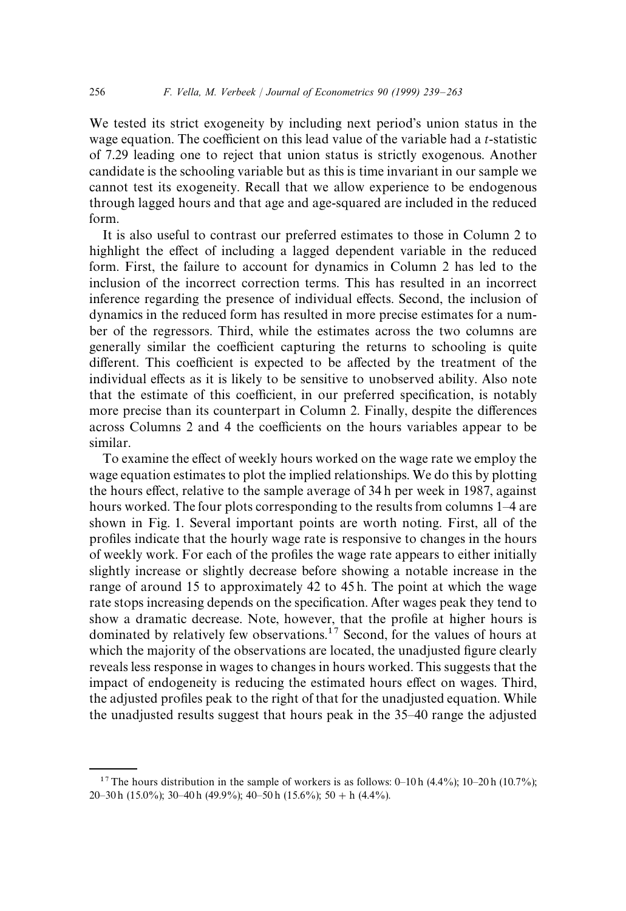We tested its strict exogeneity by including next period's union status in the wage equation. The coefficient on this lead value of the variable had a *t*-statistic of 7.29 leading one to reject that union status is strictly exogenous. Another candidate is the schooling variable but as this is time invariant in our sample we cannot test its exogeneity. Recall that we allow experience to be endogenous through lagged hours and that age and age-squared are included in the reduced form.

It is also useful to contrast our preferred estimates to those in Column 2 to highlight the effect of including a lagged dependent variable in the reduced form. First, the failure to account for dynamics in Column 2 has led to the inclusion of the incorrect correction terms. This has resulted in an incorrect inference regarding the presence of individual effects. Second, the inclusion of dynamics in the reduced form has resulted in more precise estimates for a number of the regressors. Third, while the estimates across the two columns are generally similar the coefficient capturing the returns to schooling is quite different. This coefficient is expected to be affected by the treatment of the individual effects as it is likely to be sensitive to unobserved ability. Also note that the estimate of this coefficient, in our preferred specification, is notably more precise than its counterpart in Column 2. Finally, despite the differences across Columns 2 and 4 the coefficients on the hours variables appear to be similar.

To examine the effect of weekly hours worked on the wage rate we employ the wage equation estimates to plot the implied relationships. We do this by plotting the hours effect, relative to the sample average of 34 h per week in 1987, against hours worked. The four plots corresponding to the results from columns 1*—*4 are shown in Fig. 1. Several important points are worth noting. First, all of the profiles indicate that the hourly wage rate is responsive to changes in the hours of weekly work. For each of the profiles the wage rate appears to either initially slightly increase or slightly decrease before showing a notable increase in the range of around 15 to approximately 42 to 45 h. The point at which the wage rate stops increasing depends on the specification. After wages peak they tend to show a dramatic decrease. Note, however, that the profile at higher hours is dominated by relatively few observations.<sup>17</sup> Second, for the values of hours at which the majority of the observations are located, the unadjusted figure clearly reveals less response in wages to changes in hours worked. This suggests that the impact of endogeneity is reducing the estimated hours effect on wages. Third, the adjusted profiles peak to the right of that for the unadjusted equation. While the unadjusted results suggest that hours peak in the 35*—*40 range the adjusted

<sup>&</sup>lt;sup>17</sup>The hours distribution in the sample of workers is as follows: 0–10 h (4.4%); 10–20 h (10.7%); 20*—*30 h (15.0%); 30*—*40 h (49.9%); 40*—*50 h (15.6%); 50#h (4.4%).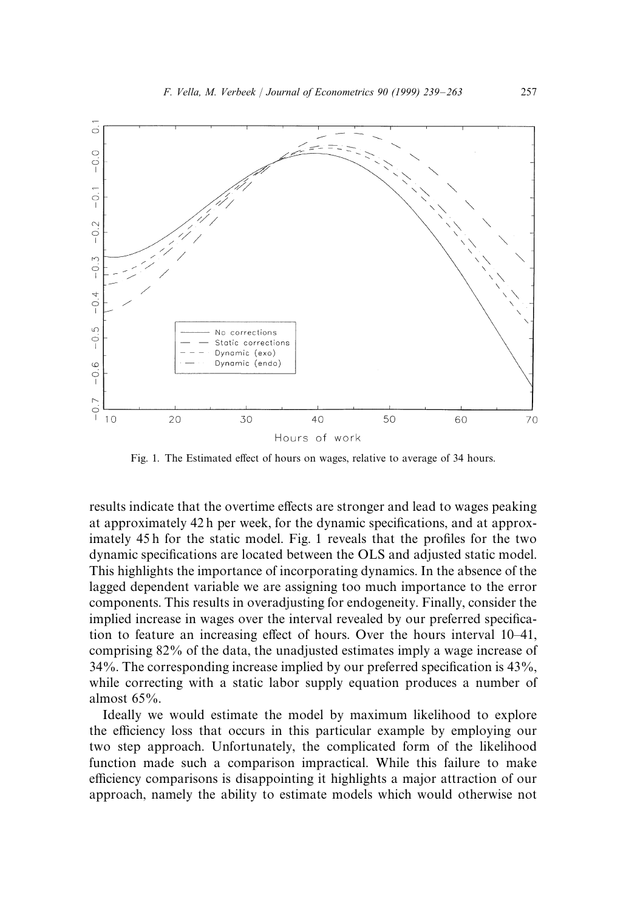

Fig. 1. The Estimated effect of hours on wages, relative to average of 34 hours.

results indicate that the overtime effects are stronger and lead to wages peaking at approximately 42 h per week, for the dynamic specifications, and at approximately 45 h for the static model. Fig. 1 reveals that the profiles for the two dynamic specifications are located between the OLS and adjusted static model. This highlights the importance of incorporating dynamics. In the absence of the lagged dependent variable we are assigning too much importance to the error components. This results in overadjusting for endogeneity. Finally, consider the implied increase in wages over the interval revealed by our preferred specification to feature an increasing effect of hours. Over the hours interval 10*—*41, comprising 82% of the data, the unadjusted estimates imply a wage increase of 34%. The corresponding increase implied by our preferred specification is 43%, while correcting with a static labor supply equation produces a number of almost 65%.

Ideally we would estimate the model by maximum likelihood to explore the efficiency loss that occurs in this particular example by employing our two step approach. Unfortunately, the complicated form of the likelihood function made such a comparison impractical. While this failure to make efficiency comparisons is disappointing it highlights a major attraction of our approach, namely the ability to estimate models which would otherwise not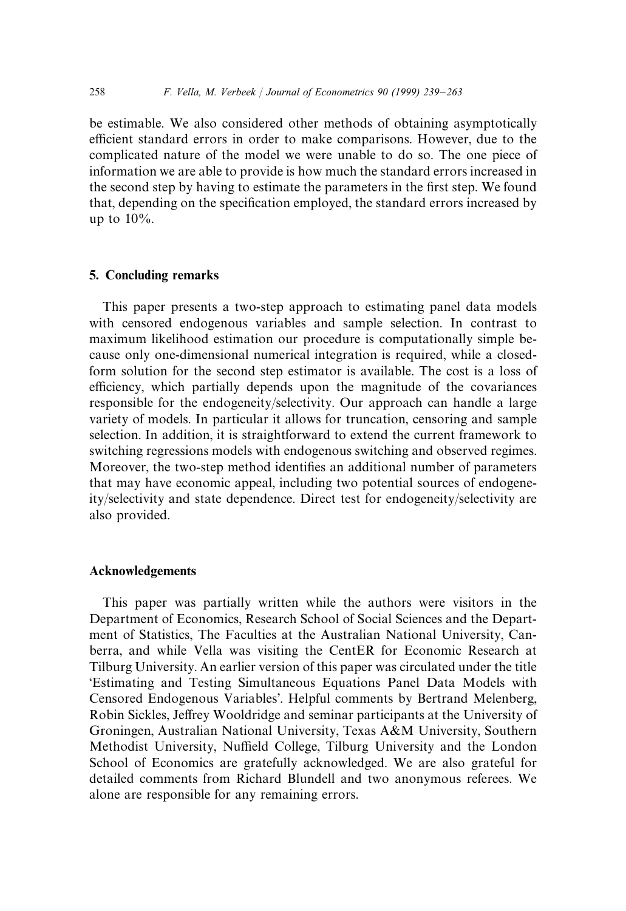be estimable. We also considered other methods of obtaining asymptotically efficient standard errors in order to make comparisons. However, due to the complicated nature of the model we were unable to do so. The one piece of information we are able to provide is how much the standard errors increased in the second step by having to estimate the parameters in the first step. We found that, depending on the specification employed, the standard errors increased by up to  $10\%$ .

# 5. Concluding remarks

This paper presents a two-step approach to estimating panel data models with censored endogenous variables and sample selection. In contrast to maximum likelihood estimation our procedure is computationally simple because only one-dimensional numerical integration is required, while a closedform solution for the second step estimator is available. The cost is a loss of efficiency, which partially depends upon the magnitude of the covariances responsible for the endogeneity/selectivity. Our approach can handle a large variety of models. In particular it allows for truncation, censoring and sample selection. In addition, it is straightforward to extend the current framework to switching regressions models with endogenous switching and observed regimes. Moreover, the two-step method identifies an additional number of parameters that may have economic appeal, including two potential sources of endogeneity/selectivity and state dependence. Direct test for endogeneity/selectivity are also provided.

# Acknowledgements

This paper was partially written while the authors were visitors in the Department of Economics, Research School of Social Sciences and the Department of Statistics, The Faculties at the Australian National University, Canberra, and while Vella was visiting the CentER for Economic Research at Tilburg University. An earlier version of this paper was circulated under the title 'Estimating and Testing Simultaneous Equations Panel Data Models with Censored Endogenous Variables'. Helpful comments by Bertrand Melenberg, Robin Sickles, Jeffrey Wooldridge and seminar participants at the University of Groningen, Australian National University, Texas A&M University, Southern Methodist University, Nuffield College, Tilburg University and the London School of Economics are gratefully acknowledged. We are also grateful for detailed comments from Richard Blundell and two anonymous referees. We alone are responsible for any remaining errors.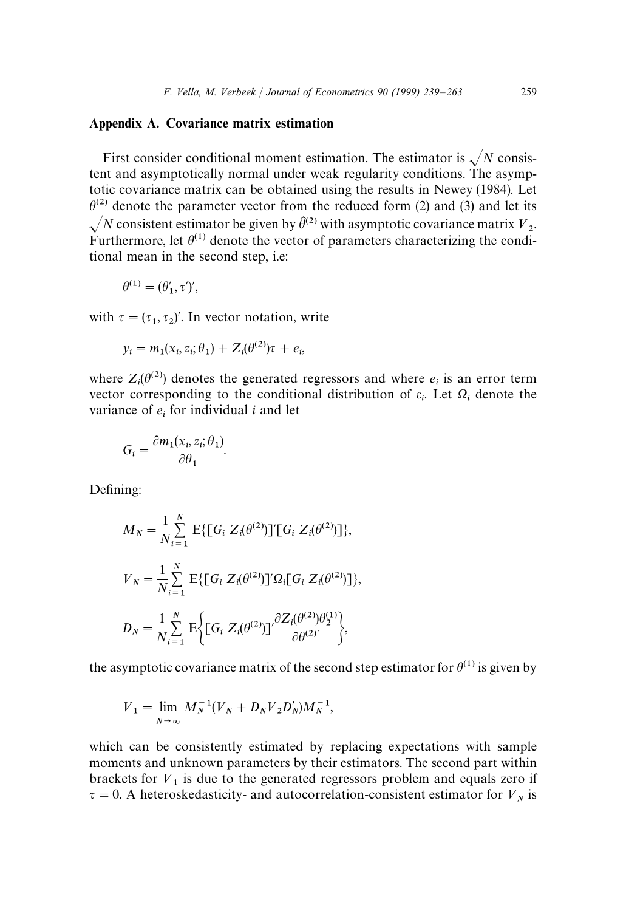## Appendix A. Covariance matrix estimation

First consider conditional moment estimation. The estimator is  $\sqrt{N}$  consistent and asymptotically normal under weak regularity conditions. The asymptotic covariance matrix can be obtained using the results in Newey (1984). Let  $\theta$ <sup>(2)</sup> denote the parameter vector from the reduced form (2) and (3) and let its  $\sqrt{N}$  consistent estimator be given by  $\hat{\theta}^{(2)}$  with asymptotic covariance matrix  $V_2$ . Furthermore, let  $\theta^{(1)}$  denote the vector of parameters characterizing the conditional mean in the second step, i.e:

$$
\theta^{(1)} = (\theta'_1, \tau')',
$$

with  $\tau = (\tau_1, \tau_2)'$ . In vector notation, write

$$
y_i = m_1(x_i, z_i; \theta_1) + Z_i(\theta^{(2)})\tau + e_i,
$$

where  $Z_i(\theta^{(2)})$  denotes the generated regressors and where  $e_i$  is an error term vector corresponding to the conditional distribution of  $\varepsilon_i$ . Let  $\Omega_i$  denote the variance of  $e_i$  for individual *i* and let

$$
G_i = \frac{\partial m_1(x_i, z_i; \theta_1)}{\partial \theta_1}.
$$

Defining:

$$
M_N = \frac{1}{N_i} \sum_{i=1}^N \mathbb{E}\{ [G_i \ Z_i(\theta^{(2)})]' [G_i \ Z_i(\theta^{(2)})] \},
$$
  
\n
$$
V_N = \frac{1}{N_i} \sum_{i=1}^N \mathbb{E}\{ [G_i \ Z_i(\theta^{(2)})]' \Omega_i [G_i \ Z_i(\theta^{(2)})] \},
$$
  
\n
$$
D_N = \frac{1}{N_i} \sum_{i=1}^N \mathbb{E}\left\{ [G_i \ Z_i(\theta^{(2)})]' \frac{\partial Z_i(\theta^{(2)}) \theta_2^{(1)}}{\partial \theta^{(2)'}} \right\},
$$

the asymptotic covariance matrix of the second step estimator for  $\theta^{(1)}$  is given by

$$
V_1 = \lim_{N \to \infty} M_N^{-1} (V_N + D_N V_2 D_N) M_N^{-1},
$$

which can be consistently estimated by replacing expectations with sample moments and unknown parameters by their estimators. The second part within brackets for  $V_1$  is due to the generated regressors problem and equals zero if  $\tau = 0$ . A heteroskedasticity- and autocorrelation-consistent estimator for  $V_N$  is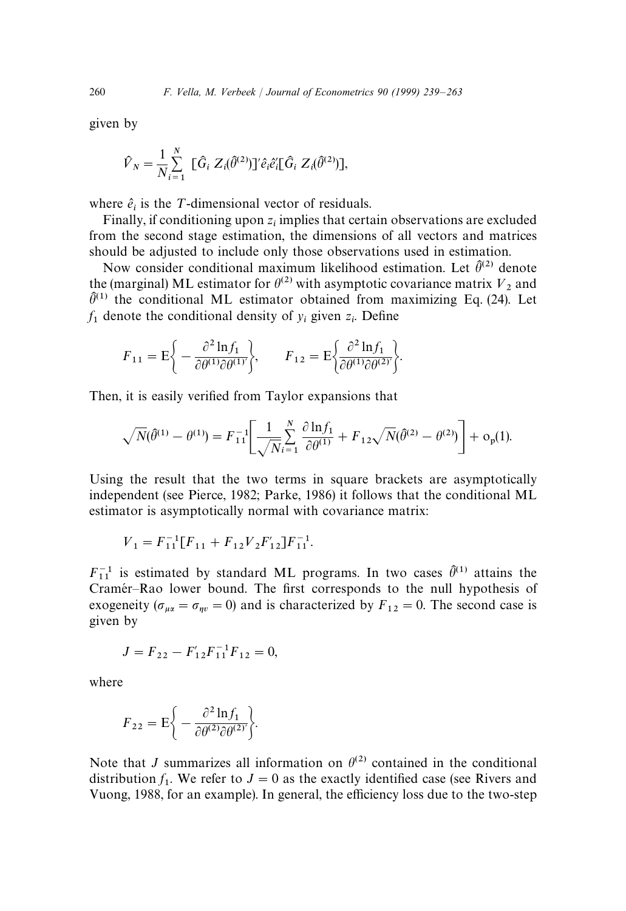given by

$$
\hat{V}_N = \frac{1}{N} \sum_{i=1}^N \left[ \hat{G}_i Z_i(\hat{\theta}^{(2)}) \right]' \hat{e}_i \hat{e}_i' [\hat{G}_i Z_i(\hat{\theta}^{(2)})],
$$

where  $\hat{e}_i$  is the T-dimensional vector of residuals.

Finally, if conditioning upon  $z_i$  implies that certain observations are excluded from the second stage estimation, the dimensions of all vectors and matrices should be adjusted to include only those observations used in estimation.

Now consider conditional maximum likelihood estimation. Let  $\hat{\theta}^{(2)}$  denote the (marginal) ML estimator for  $\theta^{(2)}$  with asymptotic covariance matrix  $V_2$  and  $\hat{\theta}^{(1)}$  the conditional ML estimator obtained from maximizing Eq. (24). Let  $f_1$  denote the conditional density of  $y_i$  given  $z_i$ . Define

$$
F_{11} = \mathcal{E} \bigg\{ -\frac{\partial^2 \ln f_1}{\partial \theta^{(1)} \partial \theta^{(1)}} \bigg\}, \qquad F_{12} = \mathcal{E} \bigg\{ \frac{\partial^2 \ln f_1}{\partial \theta^{(1)} \partial \theta^{(2)}} \bigg\}.
$$

Then, it is easily verified from Taylor expansions that

$$
\sqrt{N}(\hat{\theta}^{(1)} - \theta^{(1)}) = F_{11}^{-1} \left[ \frac{1}{\sqrt{N}} \sum_{i=1}^{N} \frac{\partial \ln f_1}{\partial \theta^{(1)}} + F_{12} \sqrt{N} (\hat{\theta}^{(2)} - \theta^{(2)}) \right] + o_p(1).
$$

Using the result that the two terms in square brackets are asymptotically independent (see Pierce, 1982; Parke, 1986) it follows that the conditional ML estimator is asymptotically normal with covariance matrix:

$$
V_1 = F_{11}^{-1} [F_{11} + F_{12} V_2 F'_{12}] F_{11}^{-1}.
$$

 $F_{11}^{-1}$  is estimated by standard ML programs. In two cases  $\hat{\theta}^{(1)}$  attains the Cramér-Rao lower bound. The first corresponds to the null hypothesis of exogeneity ( $\sigma_{\mu\alpha} = \sigma_{\eta\nu} = 0$ ) and is characterized by  $F_{12} = 0$ . The second case is given by

$$
J = F_{22} - F'_{12}F_{11}^{-1}F_{12} = 0,
$$

where

$$
F_{22} = \mathcal{E}\bigg\{-\frac{\partial^2 \ln f_1}{\partial \theta^{(2)} \partial \theta^{(2)'}}\bigg\}.
$$

Note that *J* summarizes all information on  $\theta^{(2)}$  contained in the conditional distribution  $f_1$ . We refer to  $J = 0$  as the exactly identified case (see Rivers and Ustribution  $f_1$ . We feler to  $J = 0$  as the exactly identified case (see Kivers and Vuong, 1988, for an example). In general, the efficiency loss due to the two-step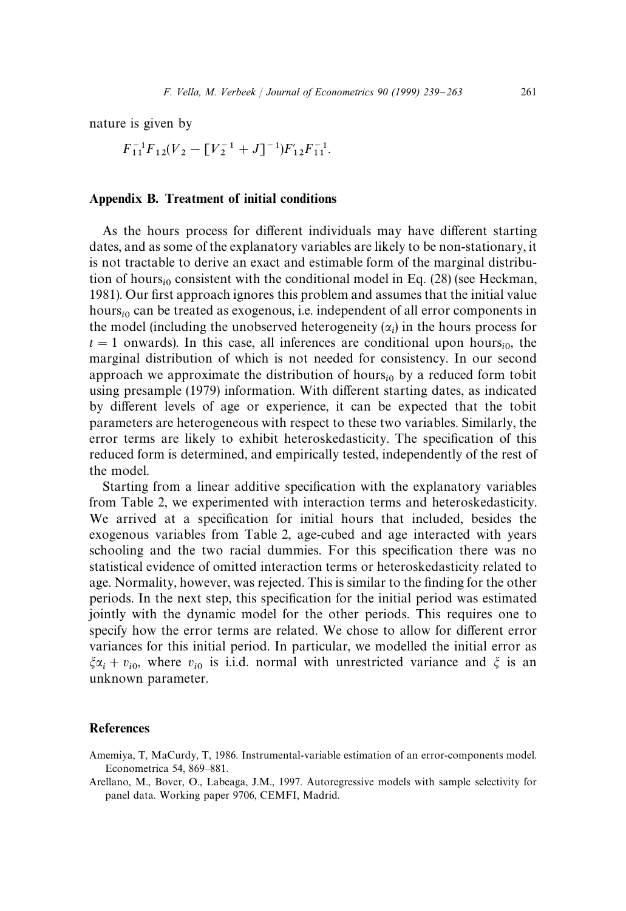nature is given by

 $F_{11}^{-1}F_{12}(V_2 - [V_2^{-1} + J]^{-1})F'_{12}F_{11}^{-1}.$ 

#### Appendix B. Treatment of initial conditions

As the hours process for different individuals may have different starting dates, and as some of the explanatory variables are likely to be non-stationary, it is not tractable to derive an exact and estimable form of the marginal distribution of hours<sub>i0</sub> consistent with the conditional model in Eq.  $(28)$  (see Heckman, 1981). Our first approach ignores this problem and assumes that the initial value hours $_{i0}$  can be treated as exogenous, i.e. independent of all error components in the model (including the unobserved heterogeneity  $(\alpha_i)$  in the hours process for  $t = 1$  onwards). In this case, all inferences are conditional upon hours<sub>i0</sub>, the marginal distribution of which is not needed for consistency. In our second approach we approximate the distribution of hours<sub>i0</sub> by a reduced form tobit using presample (1979) information. With different starting dates, as indicated by different levels of age or experience, it can be expected that the tobit parameters are heterogeneous with respect to these two variables. Similarly, the error terms are likely to exhibit heteroskedasticity. The specification of this reduced form is determined, and empirically tested, independently of the rest of the model.

Starting from a linear additive specification with the explanatory variables from Table 2, we experimented with interaction terms and heteroskedasticity. We arrived at a specification for initial hours that included, besides the exogenous variables from Table 2, age-cubed and age interacted with years schooling and the two racial dummies. For this specification there was no statistical evidence of omitted interaction terms or heteroskedasticity related to age. Normality, however, was rejected. This is similar to the finding for the other periods. In the next step, this specification for the initial period was estimated jointly with the dynamic model for the other periods. This requires one to specify how the error terms are related. We chose to allow for different error variances for this initial period. In particular, we modelled the initial error as  $\zeta \alpha_i + v_{i0}$ , where  $v_{i0}$  is i.i.d. normal with unrestricted variance and  $\zeta$  is an unknown parameter.

## References

Amemiya, T, MaCurdy, T, 1986. Instrumental-variable estimation of an error-components model. Econometrica 54, 869*—*881.

Arellano, M., Bover, O., Labeaga, J.M., 1997. Autoregressive models with sample selectivity for panel data. Working paper 9706, CEMFI, Madrid.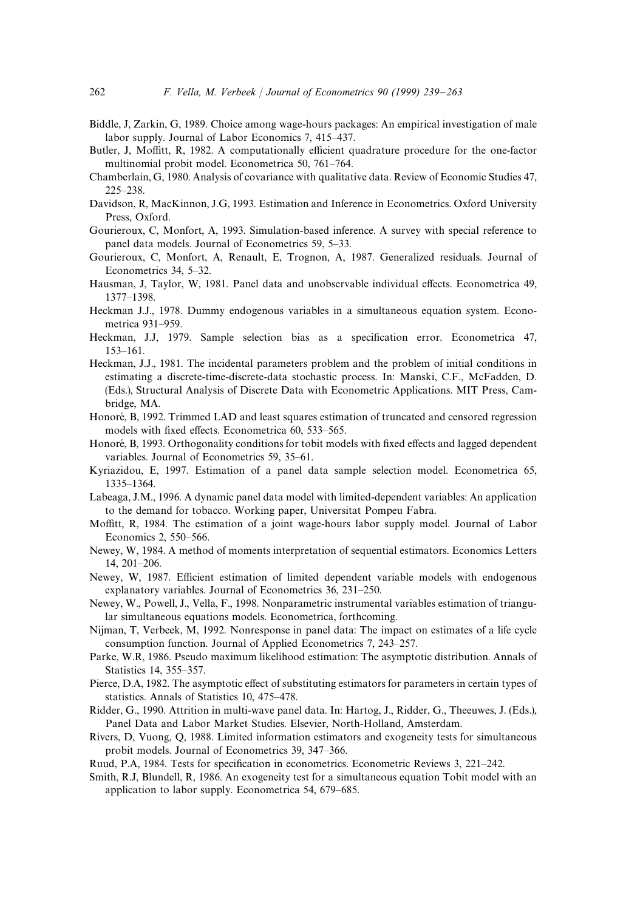- Biddle, J, Zarkin, G, 1989. Choice among wage-hours packages: An empirical investigation of male labor supply. Journal of Labor Economics 7, 415*—*437.
- Butler, J, Moffitt, R, 1982. A computationally efficient quadrature procedure for the one-factor multinomial probit model. Econometrica 50, 761*—*764.
- Chamberlain, G, 1980. Analysis of covariance with qualitative data. Review of Economic Studies 47, 225*—*238.
- Davidson, R, MacKinnon, J.G, 1993. Estimation and Inference in Econometrics. Oxford University Press, Oxford.
- Gourieroux, C, Monfort, A, 1993. Simulation-based inference. A survey with special reference to panel data models. Journal of Econometrics 59, 5*—*33.
- Gourieroux, C, Monfort, A, Renault, E, Trognon, A, 1987. Generalized residuals. Journal of Econometrics 34, 5*—*32.
- Hausman, J, Taylor, W, 1981. Panel data and unobservable individual effects. Econometrica 49, 1377*—*1398.
- Heckman J.J., 1978. Dummy endogenous variables in a simultaneous equation system. Econometrica 931*—*959.
- Heckman, J.J, 1979. Sample selection bias as a specification error. Econometrica 47, 153*—*161.
- Heckman, J.J., 1981. The incidental parameters problem and the problem of initial conditions in estimating a discrete-time-discrete-data stochastic process. In: Manski, C.F., McFadden, D. (Eds.), Structural Analysis of Discrete Data with Econometric Applications. MIT Press, Cambridge, MA.
- Honoré, B, 1992. Trimmed LAD and least squares estimation of truncated and censored regression models with fixed effects. Econometrica 60, 533*—*565.
- Honoré, B, 1993. Orthogonality conditions for tobit models with fixed effects and lagged dependent variables. Journal of Econometrics 59, 35*—*61.
- Kyriazidou, E, 1997. Estimation of a panel data sample selection model. Econometrica 65, 1335*—*1364.
- Labeaga, J.M., 1996. A dynamic panel data model with limited-dependent variables: An application to the demand for tobacco. Working paper, Universitat Pompeu Fabra.
- Moffitt, R, 1984. The estimation of a joint wage-hours labor supply model. Journal of Labor Economics 2, 550*—*566.
- Newey, W, 1984. A method of moments interpretation of sequential estimators. Economics Letters 14, 201*—*206.
- Newey, W, 1987. Efficient estimation of limited dependent variable models with endogenous explanatory variables. Journal of Econometrics 36, 231*—*250.
- Newey, W., Powell, J., Vella, F., 1998. Nonparametric instrumental variables estimation of triangular simultaneous equations models. Econometrica, forthcoming.
- Nijman, T, Verbeek, M, 1992. Nonresponse in panel data: The impact on estimates of a life cycle consumption function. Journal of Applied Econometrics 7, 243*—*257.
- Parke, W.R, 1986. Pseudo maximum likelihood estimation: The asymptotic distribution. Annals of Statistics 14, 355*—*357.
- Pierce, D.A, 1982. The asymptotic effect of substituting estimators for parameters in certain types of statistics. Annals of Statistics 10, 475*—*478.
- Ridder, G., 1990. Attrition in multi-wave panel data. In: Hartog, J., Ridder, G., Theeuwes, J. (Eds.), Panel Data and Labor Market Studies. Elsevier, North-Holland, Amsterdam.
- Rivers, D, Vuong, Q, 1988. Limited information estimators and exogeneity tests for simultaneous probit models. Journal of Econometrics 39, 347*—*366.
- Ruud, P.A, 1984. Tests for specification in econometrics. Econometric Reviews 3, 221*—*242.
- Smith, R.J, Blundell, R, 1986. An exogeneity test for a simultaneous equation Tobit model with an application to labor supply. Econometrica 54, 679*—*685.